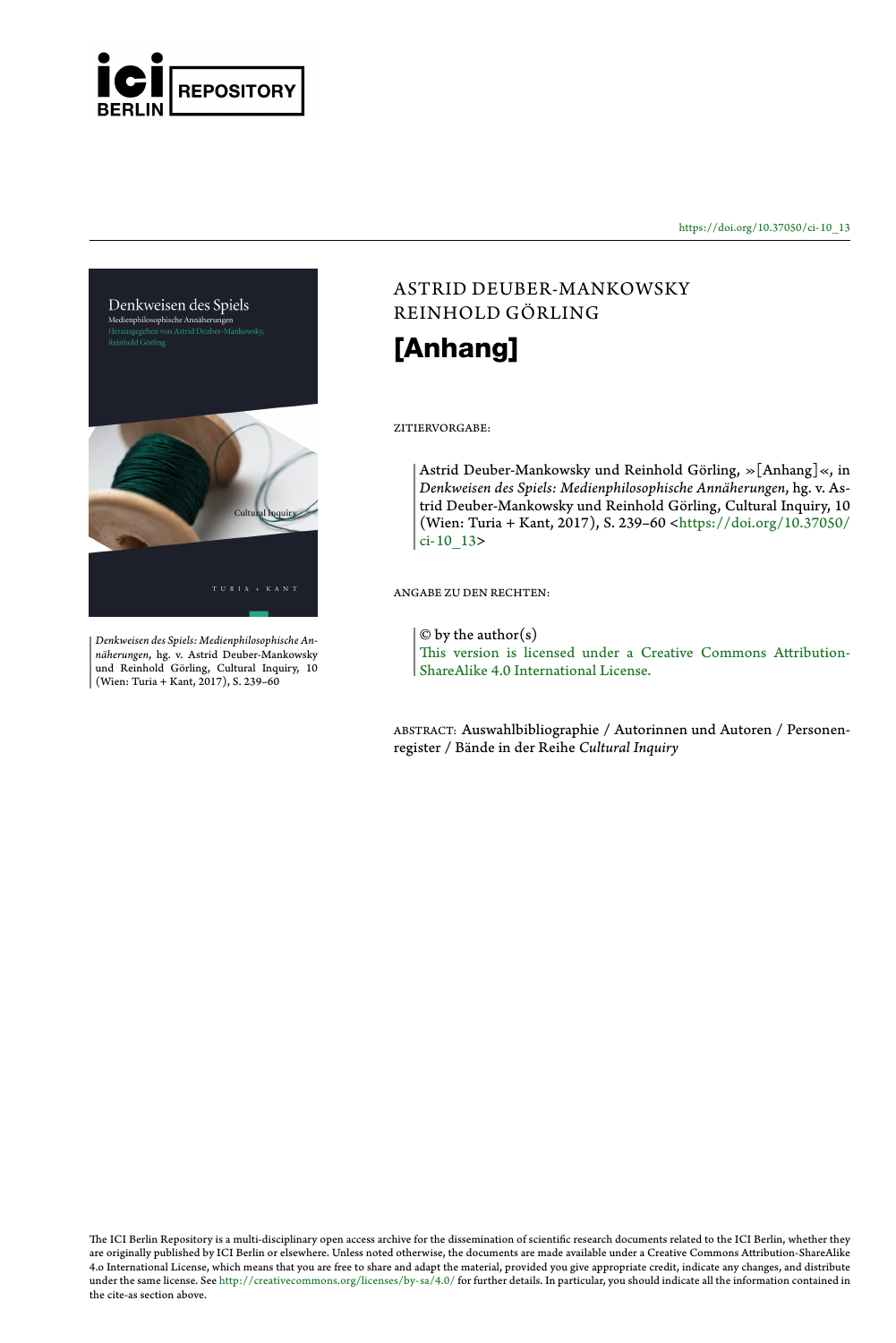

https://doi.org/10.37050/ci-10\_13



*Denkweisen des Spiels: Medienphilosophische Annäherungen*, hg. v. Astrid Deuber-Mankowsky und Reinhold Görling, Cultural Inquiry, 10 (Wien: Turia + Kant, 2017), S. 239–60

### ASTRID DEUBER-MANKOWSK[Y](https://doi.org/10.37050/ci-10_13) RE[INHOL](https://doi.org/10.37050/ci-10_13)D GÖRLING

# **[Anhang]**

#### ZITI[ERVORGABE:](http://creativecommons.org/licenses/by-sa/4.0/)

Astrid Deuber-Mankowsky und Reinhold Görling, »[Anhang]«, in *Denkweisen des Spiels: Medienphilosophische Annäherungen*, hg. v. Astrid Deuber-Mankowsky und Reinhold Görling, Cultural Inquiry, 10 (Wien: Turia + Kant, 2017), S. 239–60 <https://doi.org/10.37050/  $|ci-10$  13>

ANGABE ZU DEN RECHTEN:

 $\circ$  by the author(s)

This version is licensed under a Creative Commons Attribution-ShareAlike 4.0 International License.

ABSTRACT: Auswahlbibliographie / Autorinnen und Autoren / Personenregister / Bände in der Reihe *Cultural Inquiry*

The ICI Berlin Repository is a multi-disciplinary open access archive for the dissemination of scientific research documents related to the ICI Berlin, whether they<br>are originally published by ICI Berlin or elsewhere. Unle the cite-as section above.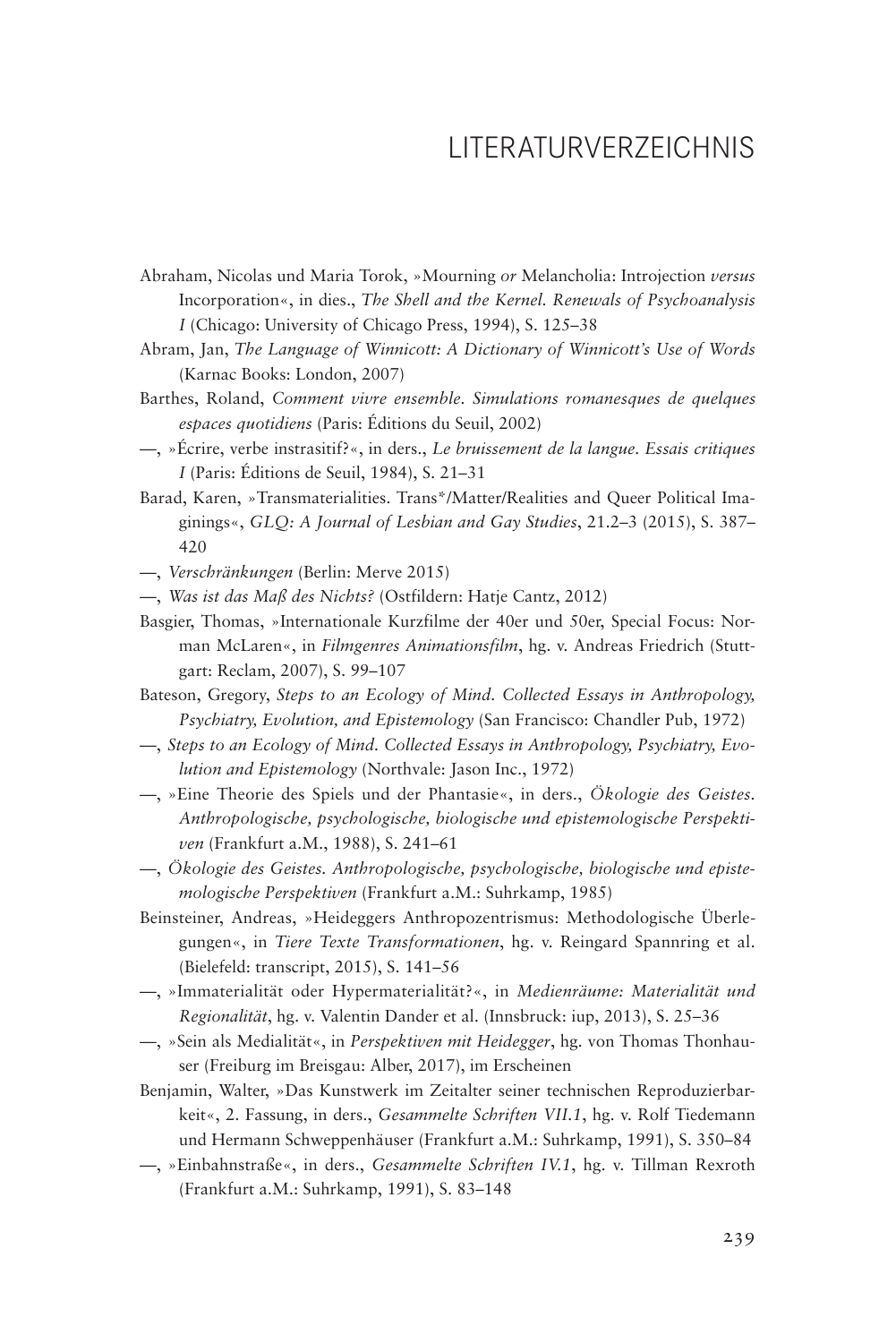### LITERATURVERZEICHNIS

- Abraham, Nicolas und Maria Torok, »Mourning *or* Melancholia: Introjection *versus* Incorporation«, in dies., *The Shell and the Kernel. Renewals of Psychoanalysis I* (Chicago: University of Chicago Press, 1994), S. 125–38
- Abram, Jan, *The Language of Winnicott: A Dictionary of Winnicott's Use of Words* (Karnac Books: London, 2007)
- Barthes, Roland, *Comment vivre ensemble. Simulations romanesques de quelques espaces quotidiens* (Paris: Éditions du Seuil, 2002)
- —, »Écrire, verbe instrasitif?«, in ders., *Le bruissement de la langue. Essais critiques I* (Paris: Éditions de Seuil, 1984), S. 21–31
- Barad, Karen, »Transmaterialities. Trans\*/Matter/Realities and Queer Political Imaginings«, *GLQ: A Journal of Lesbian and Gay Studies*, 21.2–3 (2015), S. 387– 420
- —, *Verschränkungen* (Berlin: Merve 2015)
- —, *Was ist das Maß des Nichts?* (Ostfildern: Hatje Cantz, 2012)
- Basgier, Thomas, »Internationale Kurzfilme der 40er und 50er, Special Focus: Norman McLaren«, in *Filmgenres Animationsfilm*, hg. v. Andreas Friedrich (Stuttgart: Reclam, 2007), S. 99–107
- Bateson, Gregory, *Steps to an Ecology of Mind. Collected Essays in Anthropology, Psychiatry, Evolution, and Epistemology* (San Francisco: Chandler Pub, 1972)
- —, *Steps to an Ecology of Mind. Collected Essays in Anthropology, Psychiatry, Evolution and Epistemology* (Northvale: Jason Inc., 1972)
- —, »Eine Theorie des Spiels und der Phantasie«, in ders., *Ökologie des Geistes. Anthropologische, psychologische, biologische und epistemologische Perspektiven* (Frankfurt a.M., 1988), S. 241–61
- —, *Ökologie des Geistes. Anthropologische, psychologische, biologische und epistemologische Perspektiven* (Frankfurt a.M.: Suhrkamp, 1985)
- Beinsteiner, Andreas, »Heideggers Anthropozentrismus: Methodologische Überlegungen«, in *Tiere Texte Transformationen*, hg. v. Reingard Spannring et al. (Bielefeld: transcript, 2015), S. 141–56
- —, »Immaterialität oder Hypermaterialität?«, in *Medienräume: Materialität und Regionalität*, hg. v. Valentin Dander et al. (Innsbruck: iup, 2013), S. 25–36
- —, »Sein als Medialität«, in *Perspektiven mit Heidegger*, hg. von Thomas Thonhauser (Freiburg im Breisgau: Alber, 2017), im Erscheinen
- Benjamin, Walter, »Das Kunstwerk im Zeitalter seiner technischen Reproduzierbarkeit«, 2. Fassung, in ders., *Gesammelte Schriften VII.1*, hg. v. Rolf Tiedemann und Hermann Schweppenhäuser (Frankfurt a.M.: Suhrkamp, 1991), S. 350–84
- —, »Einbahnstraße«, in ders., *Gesammelte Schriften IV.1*, hg. v. Tillman Rexroth (Frankfurt a.M.: Suhrkamp, 1991), S. 83–148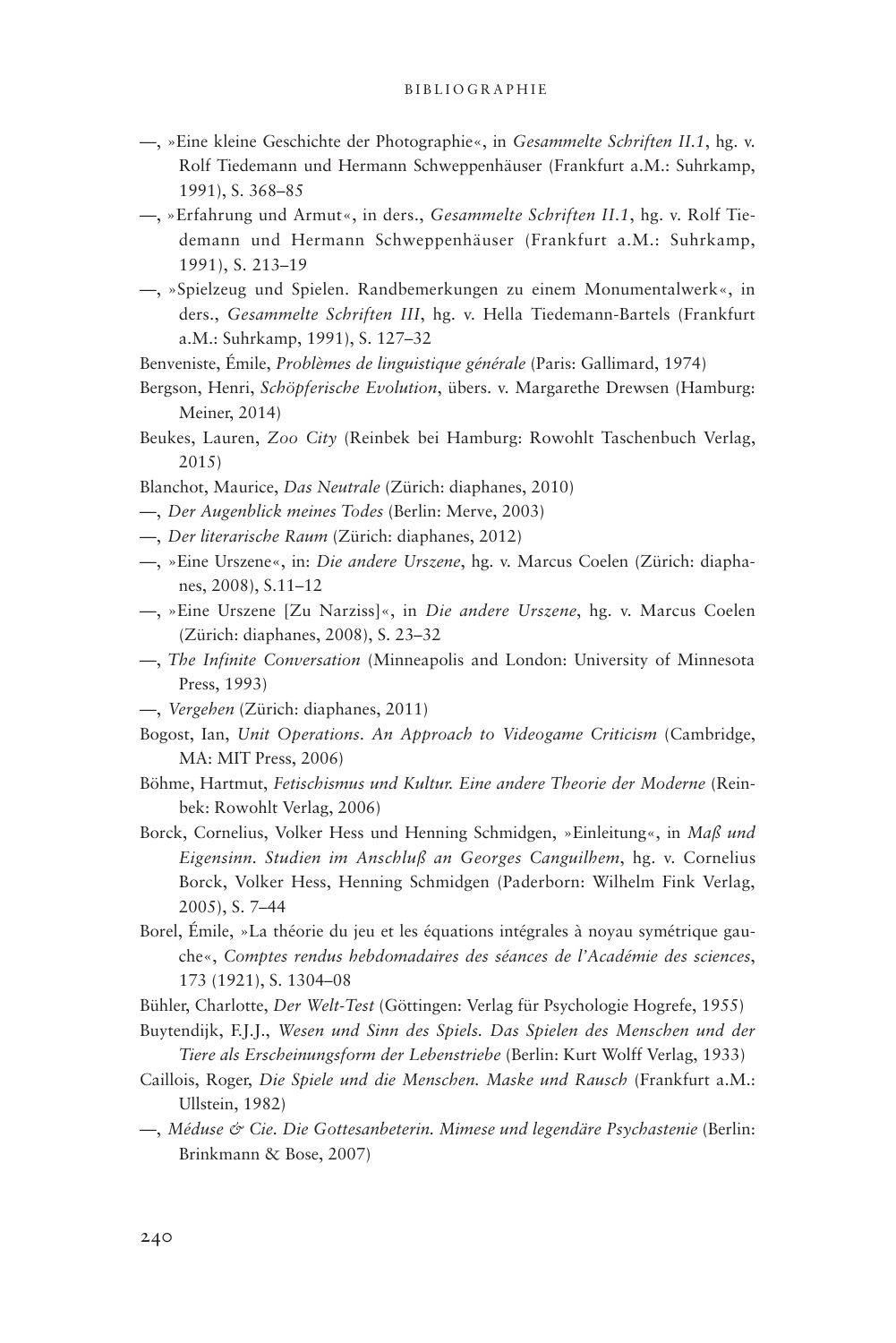- —, »Eine kleine Geschichte der Photographie«, in *Gesammelte Schriften II.1*, hg. v. Rolf Tiedemann und Hermann Schweppenhäuser (Frankfurt a.M.: Suhrkamp, 1991), S. 368–85
- —, »Erfahrung und Armut«, in ders., *Gesammelte Schriften II.1*, hg. v. Rolf Tiedemann und Hermann Schweppenhäuser (Frankfurt a.M.: Suhrkamp, 1991), S. 213–19
- —, »Spielzeug und Spielen. Randbemerkungen zu einem Monumentalwerk«, in ders., *Gesammelte Schriften III*, hg. v. Hella Tiedemann-Bartels (Frankfurt a.M.: Suhrkamp, 1991), S. 127–32

Benveniste, Émile, *Problèmes de linguistique générale* (Paris: Gallimard, 1974)

- Bergson, Henri, *Schöpferische Evolution*, übers. v. Margarethe Drewsen (Hamburg: Meiner, 2014)
- Beukes, Lauren, *Zoo City* (Reinbek bei Hamburg: Rowohlt Taschenbuch Verlag, 2015)
- Blanchot, Maurice, *Das Neutrale* (Zürich: diaphanes, 2010)
- —, *Der Augenblick meines Todes* (Berlin: Merve, 2003)
- —, *Der literarische Raum* (Zürich: diaphanes, 2012)
- —, »Eine Urszene«, in: *Die andere Urszene*, hg. v. Marcus Coelen (Zürich: diaphanes, 2008), S.11–12
- —, »Eine Urszene [Zu Narziss]«, in *Die andere Urszene*, hg. v. Marcus Coelen (Zürich: diaphanes, 2008), S. 23–32
- —, *The Infinite Conversation* (Minneapolis and London: University of Minnesota Press, 1993)
- —, *Vergehen* (Zürich: diaphanes, 2011)
- Bogost, Ian, *Unit Operations*. *An Approach to Videogame Criticism* (Cambridge, MA: MIT Press, 2006)
- Böhme, Hartmut, *Fetischismus und Kultur. Eine andere Theorie der Moderne* (Reinbek: Rowohlt Verlag, 2006)
- Borck, Cornelius, Volker Hess und Henning Schmidgen, »Einleitung«, in *Maß und Eigensinn. Studien im Anschluß an Georges Canguilhem*, hg. v. Cornelius Borck, Volker Hess, Henning Schmidgen (Paderborn: Wilhelm Fink Verlag, 2005), S. 7–44
- Borel, Émile, »La théorie du jeu et les équations intégrales à noyau symétrique gauche«, *Comptes rendus hebdomadaires des séances de l'Académie des sciences*, 173 (1921), S. 1304–08
- Bühler, Charlotte, *Der Welt-Test* (Göttingen: Verlag für Psychologie Hogrefe, 1955)
- Buytendijk, F.J.J., *Wesen und Sinn des Spiels. Das Spielen des Menschen und der Tiere als Erscheinungsform der Lebenstriebe* (Berlin: Kurt Wolff Verlag, 1933)
- Caillois, Roger, *Die Spiele und die Menschen. Maske und Rausch* (Frankfurt a.M.: Ullstein, 1982)
- —, *Méduse & Cie. Die Gottesanbeterin. Mimese und legendäre Psychastenie* (Berlin: Brinkmann & Bose, 2007)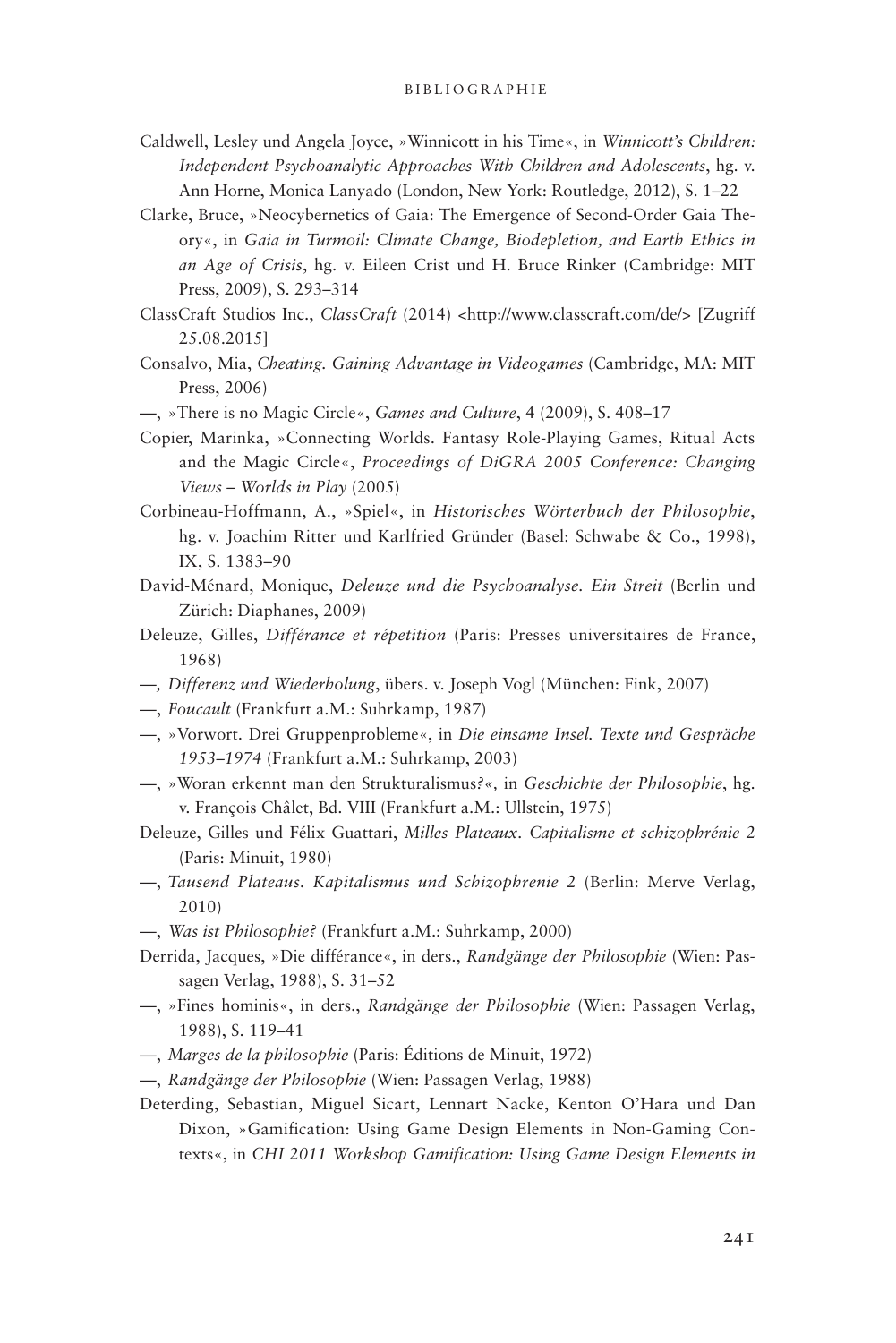- Caldwell, Lesley und Angela Joyce, »Winnicott in his Time«, in *Winnicott's Children: Independent Psychoanalytic Approaches With Children and Adolescents*, hg. v. Ann Horne, Monica Lanyado (London, New York: Routledge, 2012), S. 1–22
- Clarke, Bruce, »Neocybernetics of Gaia: The Emergence of Second-Order Gaia Theory«, in *Gaia in Turmoil: Climate Change, Biodepletion, and Earth Ethics in an Age of Crisis*, hg. v. Eileen Crist und H. Bruce Rinker (Cambridge: MIT Press, 2009), S. 293–314
- ClassCraft Studios Inc., *ClassCraft* (2014) <http://www.classcraft.com/de/> [Zugriff 25.08.2015]
- Consalvo, Mia, *Cheating. Gaining Advantage in Videogames* (Cambridge, MA: MIT Press, 2006)
- —, »There is no Magic Circle«, *Games and Culture*, 4 (2009), S. 408–17
- Copier, Marinka, »Connecting Worlds. Fantasy Role-Playing Games, Ritual Acts and the Magic Circle«, *Proceedings of DiGRA 2005 Conference: Changing Views – Worlds in Play* (2005)
- Corbineau-Hoffmann, A., »Spiel«, in *Historisches Wörterbuch der Philosophie*, hg. v. Joachim Ritter und Karlfried Gründer (Basel: Schwabe & Co., 1998), IX, S. 1383–90
- David-Ménard, Monique, *Deleuze und die Psychoanalyse. Ein Streit* (Berlin und Zürich: Diaphanes, 2009)
- Deleuze, Gilles, *Différance et répetition* (Paris: Presses universitaires de France, 1968)
- —*, Differenz und Wiederholung*, übers. v. Joseph Vogl (München: Fink, 2007)
- —, *Foucault* (Frankfurt a.M.: Suhrkamp, 1987)
- —, »Vorwort. Drei Gruppenprobleme«, in *Die einsame Insel. Texte und Gespräche 1953–1974* (Frankfurt a.M.: Suhrkamp, 2003)
- —, »Woran erkennt man den Strukturalismus*?«,* in *Geschichte der Philosophie*, hg. v. François Châlet, Bd. VIII (Frankfurt a.M.: Ullstein, 1975)
- Deleuze, Gilles und Félix Guattari, *Milles Plateaux. Capitalisme et schizophrénie 2* (Paris: Minuit, 1980)
- —, *Tausend Plateaus. Kapitalismus und Schizophrenie 2* (Berlin: Merve Verlag, 2010)
- —, *Was ist Philosophie?* (Frankfurt a.M.: Suhrkamp, 2000)
- Derrida, Jacques, »Die différance«, in ders., *Randgänge der Philosophie* (Wien: Passagen Verlag, 1988), S. 31–52
- —, »Fines hominis«, in ders., *Randgänge der Philosophie* (Wien: Passagen Verlag, 1988), S. 119–41
- —, *Marges de la philosophie* (Paris: Éditions de Minuit, 1972)
- —, *Randgänge der Philosophie* (Wien: Passagen Verlag, 1988)
- Deterding, Sebastian, Miguel Sicart, Lennart Nacke, Kenton O'Hara und Dan Dixon, »Gamification: Using Game Design Elements in Non-Gaming Contexts«, in *CHI 2011 Workshop Gamification: Using Game Design Elements in*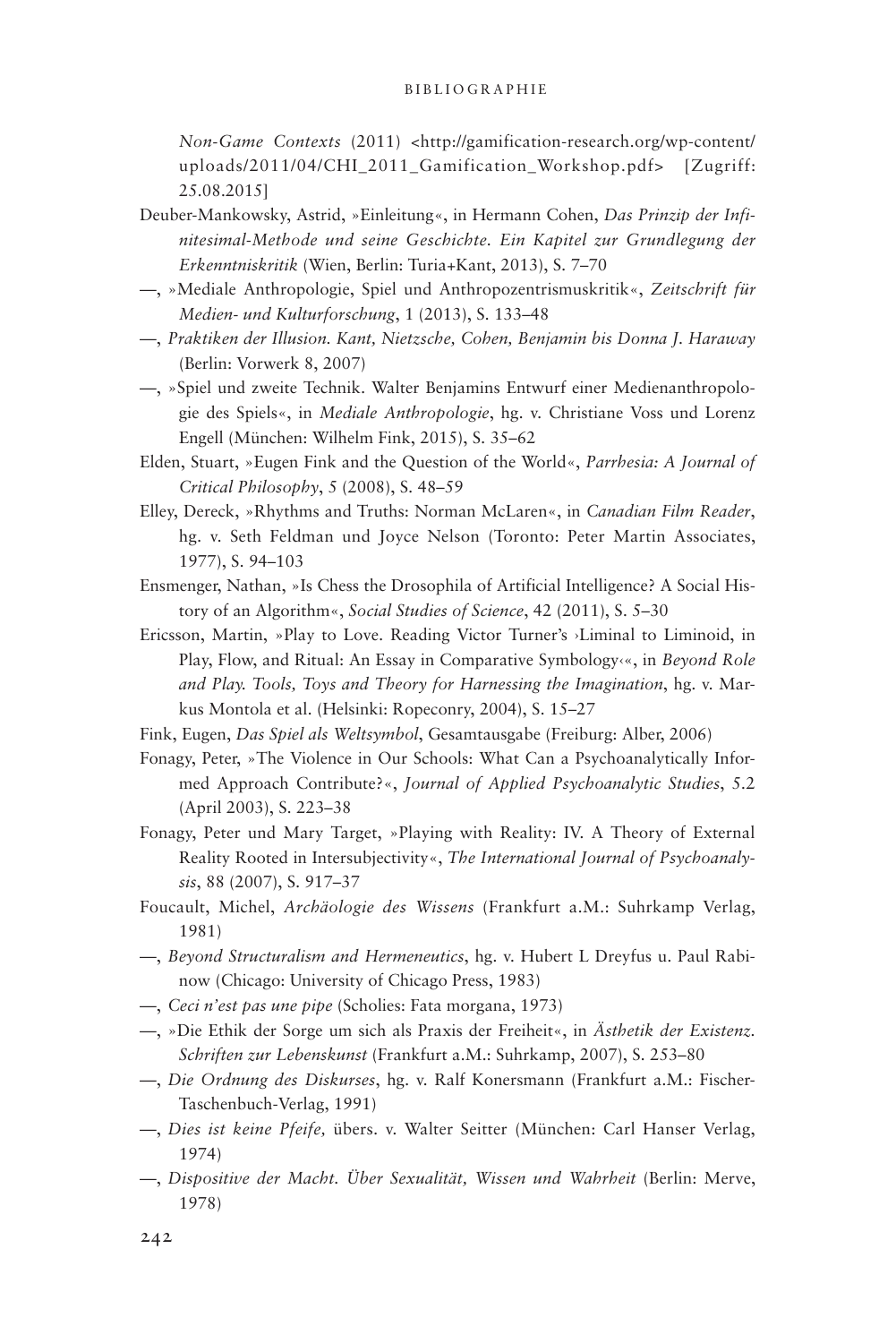### B ibliographie

*Non-Game Contexts* (2011) <http://gamification-research.org/wp-content/ uploads/2011/04/CHI\_2011\_Gamification\_Workshop.pdf> [Zugriff: 25.08.2015]

- Deuber-Mankowsky, Astrid, »Einleitung«, in Hermann Cohen, *Das Prinzip der Infinitesimal-Methode und seine Geschichte. Ein Kapitel zur Grundlegung der Erkenntniskritik* (Wien, Berlin: Turia+Kant, 2013), S. 7–70
- —, »Mediale Anthropologie, Spiel und Anthropozentrismuskritik«, *Zeitschrift für Medien- und Kulturforschung*, 1 (2013), S. 133–48
- —, *Praktiken der Illusion. Kant, Nietzsche, Cohen, Benjamin bis Donna J. Haraway* (Berlin: Vorwerk 8, 2007)
- —, »Spiel und zweite Technik. Walter Benjamins Entwurf einer Medienanthropologie des Spiels«, in *Mediale Anthropologie*, hg. v. Christiane Voss und Lorenz Engell (München: Wilhelm Fink, 2015), S. 35–62
- Elden, Stuart, »Eugen Fink and the Question of the World«, *Parrhesia: A Journal of Critical Philosophy*, 5 (2008), S. 48–59
- Elley, Dereck, »Rhythms and Truths: Norman McLaren«, in *Canadian Film Reader*, hg. v. Seth Feldman und Joyce Nelson (Toronto: Peter Martin Associates, 1977), S. 94–103
- Ensmenger, Nathan, »Is Chess the Drosophila of Artificial Intelligence? A Social History of an Algorithm«, *Social Studies of Science*, 42 (2011), S. 5–30
- Ericsson, Martin, »Play to Love. Reading Victor Turner's ›Liminal to Liminoid, in Play, Flow, and Ritual: An Essay in Comparative Symbology‹«, in *Beyond Role and Play. Tools, Toys and Theory for Harnessing the Imagination*, hg. v. Markus Montola et al. (Helsinki: Ropeconry, 2004), S. 15–27
- Fink, Eugen, *Das Spiel als Weltsymbol*, Gesamtausgabe (Freiburg: Alber, 2006)
- Fonagy, Peter, »The Violence in Our Schools: What Can a Psychoanalytically Informed Approach Contribute?«, *Journal of Applied Psychoanalytic Studies*, 5.2 (April 2003), S. 223–38
- Fonagy, Peter und Mary Target, »Playing with Reality: IV. A Theory of External Reality Rooted in Intersubjectivity«, *The International Journal of Psychoanalysis*, 88 (2007), S. 917–37
- Foucault, Michel, *Archäologie des Wissens* (Frankfurt a.M.: Suhrkamp Verlag, 1981)
- —, *Beyond Structuralism and Hermeneutics*, hg. v. Hubert L Dreyfus u. Paul Rabinow (Chicago: University of Chicago Press, 1983)
- —, *Ceci n'est pas une pipe* (Scholies: Fata morgana, 1973)
- —, »Die Ethik der Sorge um sich als Praxis der Freiheit«, in *Ästhetik der Existenz. Schriften zur Lebenskunst* (Frankfurt a.M.: Suhrkamp, 2007), S. 253–80
- —, *Die Ordnung des Diskurses*, hg. v. Ralf Konersmann (Frankfurt a.M.: Fischer-Taschenbuch-Verlag, 1991)
- —, *Dies ist keine Pfeife,* übers. v. Walter Seitter (München: Carl Hanser Verlag, 1974)
- —, *Dispositive der Macht. Über Sexualität, Wissen und Wahrheit* (Berlin: Merve, 1978)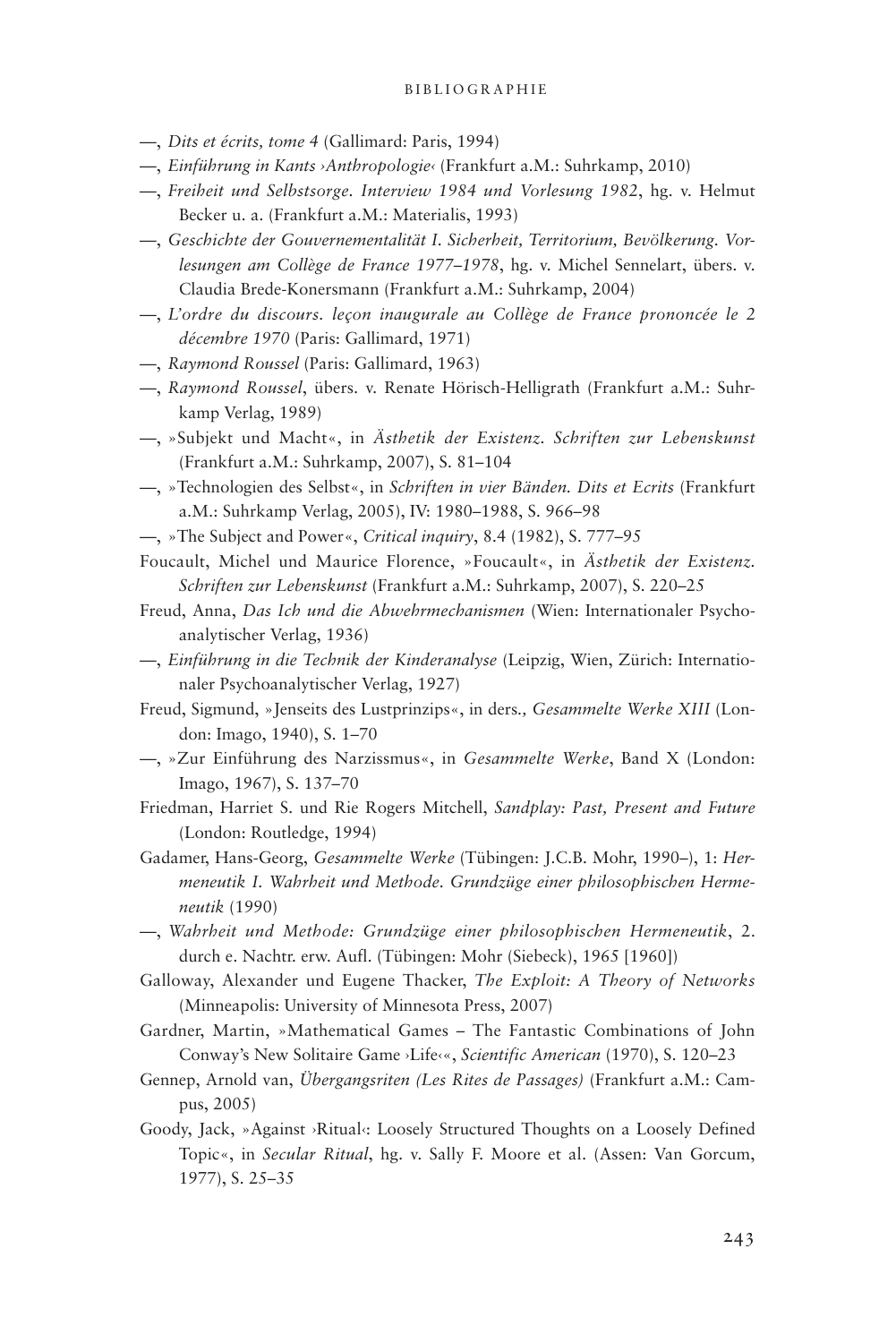#### B ibliographie

- —, *Dits et écrits, tome 4* (Gallimard: Paris, 1994)
- —, *Einführung in Kants ›Anthropologie‹* (Frankfurt a.M.: Suhrkamp, 2010)
- —, *Freiheit und Selbstsorge. Interview 1984 und Vorlesung 1982*, hg. v. Helmut Becker u. a. (Frankfurt a.M.: Materialis, 1993)
- —, *Geschichte der Gouvernementalität I. Sicherheit, Territorium, Bevölkerung. Vorlesungen am Collège de France 1977–1978*, hg. v. Michel Sennelart, übers. v. Claudia Brede-Konersmann (Frankfurt a.M.: Suhrkamp, 2004)
- —, *L'ordre du discours. leçon inaugurale au Collège de France prononcée le 2 décembre 1970* (Paris: Gallimard, 1971)
- —, *Raymond Roussel* (Paris: Gallimard, 1963)
- —, *Raymond Roussel*, übers. v. Renate Hörisch-Helligrath (Frankfurt a.M.: Suhrkamp Verlag, 1989)
- —, »Subjekt und Macht«, in *Ästhetik der Existenz. Schriften zur Lebenskunst* (Frankfurt a.M.: Suhrkamp, 2007), S. 81–104
- —, »Technologien des Selbst«, in *Schriften in vier Bänden. Dits et Ecrits* (Frankfurt a.M.: Suhrkamp Verlag, 2005), IV: 1980–1988, S. 966–98
- —, »The Subject and Power«, *Critical inquiry*, 8.4 (1982), S. 777–95
- Foucault, Michel und Maurice Florence, »Foucault«, in *Ästhetik der Existenz. Schriften zur Lebenskunst* (Frankfurt a.M.: Suhrkamp, 2007), S. 220–25
- Freud, Anna, *Das Ich und die Abwehrmechanismen* (Wien: Internationaler Psychoanalytischer Verlag, 1936)
- —, *Einführung in die Technik der Kinderanalyse* (Leipzig, Wien, Zürich: Internationaler Psychoanalytischer Verlag, 1927)
- Freud, Sigmund, »Jenseits des Lustprinzips«, in ders*., Gesammelte Werke XIII* (London: Imago, 1940), S. 1–70
- —, »Zur Einführung des Narzissmus«, in *Gesammelte Werke*, Band X (London: Imago, 1967), S. 137–70
- Friedman, Harriet S. und Rie Rogers Mitchell, *Sandplay: Past, Present and Future* (London: Routledge, 1994)
- Gadamer, Hans-Georg, *Gesammelte Werke* (Tübingen: J.C.B. Mohr, 1990–), 1: *Hermeneutik I. Wahrheit und Methode. Grundzüge einer philosophischen Hermeneutik* (1990)
- —, *Wahrheit und Methode: Grundzüge einer philosophischen Hermeneutik*, 2. durch e. Nachtr. erw. Aufl. (Tübingen: Mohr (Siebeck), 1965 [1960])
- Galloway, Alexander und Eugene Thacker, *The Exploit: A Theory of Networks*  (Minneapolis: University of Minnesota Press, 2007)
- Gardner, Martin, »Mathematical Games The Fantastic Combinations of John Conway's New Solitaire Game ›Life‹«, *Scientific American* (1970), S. 120–23
- Gennep, Arnold van, *Übergangsriten (Les Rites de Passages)* (Frankfurt a.M.: Campus, 2005)
- Goody, Jack, »Against ›Ritual‹: Loosely Structured Thoughts on a Loosely Defined Topic«, in *Secular Ritual*, hg. v. Sally F. Moore et al. (Assen: Van Gorcum, 1977), S. 25–35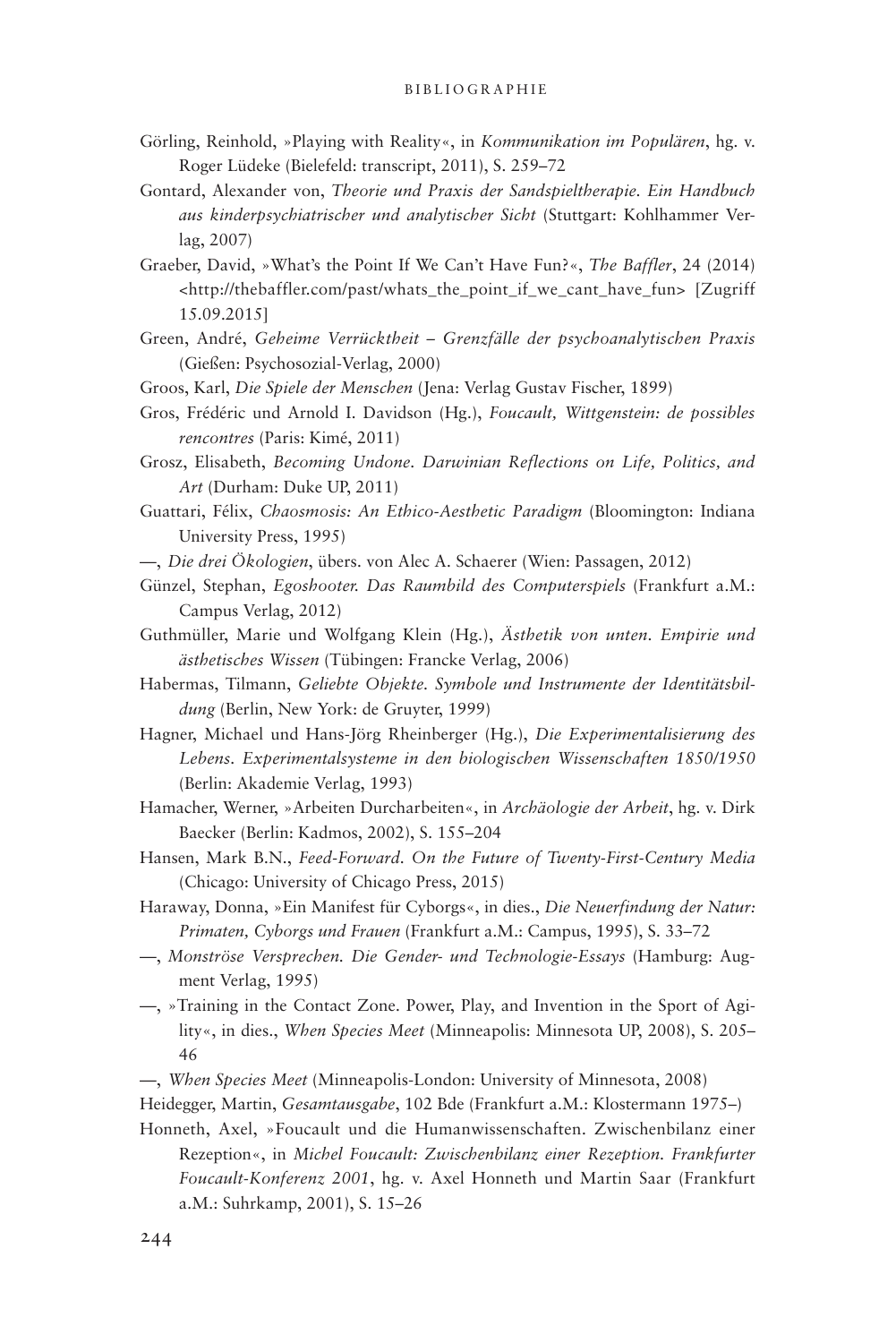- Görling, Reinhold, »Playing with Reality«, in *Kommunikation im Populären*, hg. v. Roger Lüdeke (Bielefeld: transcript, 2011), S. 259–72
- Gontard, Alexander von, *Theorie und Praxis der Sandspieltherapie. Ein Handbuch aus kinderpsychiatrischer und analytischer Sicht* (Stuttgart: Kohlhammer Verlag, 2007)
- Graeber, David, »What's the Point If We Can't Have Fun?«, *The Baffler*, 24 (2014) <http://thebaffler.com/past/whats\_the\_point\_if\_we\_cant\_have\_fun> [Zugriff 15.09.2015]
- Green, André, *Geheime Verrücktheit Grenzfälle der psychoanalytischen Praxis* (Gießen: Psychosozial-Verlag, 2000)
- Groos, Karl, *Die Spiele der Menschen* (Jena: Verlag Gustav Fischer, 1899)
- Gros, Frédéric und Arnold I. Davidson (Hg.), *Foucault, Wittgenstein: de possibles rencontres* (Paris: Kimé, 2011)
- Grosz, Elisabeth, *Becoming Undone. Darwinian Reflections on Life, Politics, and Art* (Durham: Duke UP, 2011)
- Guattari, Félix, *Chaosmosis: An Ethico-Aesthetic Paradigm* (Bloomington: Indiana University Press, 1995)
- —, *Die drei Ökologien*, übers. von Alec A. Schaerer (Wien: Passagen, 2012)
- Günzel, Stephan, *Egoshooter. Das Raumbild des Computerspiels* (Frankfurt a.M.: Campus Verlag, 2012)
- Guthmüller, Marie und Wolfgang Klein (Hg.), *Ästhetik von unten. Empirie und ästhetisches Wissen* (Tübingen: Francke Verlag, 2006)
- Habermas, Tilmann, *Geliebte Objekte. Symbole und Instrumente der Identitätsbildung* (Berlin, New York: de Gruyter, 1999)
- Hagner, Michael und Hans-Jörg Rheinberger (Hg.), *Die Experimentalisierung des Lebens. Experimentalsysteme in den biologischen Wissenschaften 1850/1950* (Berlin: Akademie Verlag, 1993)
- Hamacher, Werner, »Arbeiten Durcharbeiten«, in *Archäologie der Arbeit*, hg. v. Dirk Baecker (Berlin: Kadmos, 2002), S. 155–204
- Hansen, Mark B.N., *Feed-Forward. On the Future of Twenty-First-Century Media*  (Chicago: University of Chicago Press, 2015)
- Haraway, Donna, »Ein Manifest für Cyborgs«, in dies., *Die Neuerfindung der Natur: Primaten, Cyborgs und Frauen* (Frankfurt a.M.: Campus, 1995), S. 33–72
- —, *Monströse Versprechen. Die Gender- und Technologie-Essays* (Hamburg: Augment Verlag, 1995)
- —, »Training in the Contact Zone. Power, Play, and Invention in the Sport of Agility«, in dies., *When Species Meet* (Minneapolis: Minnesota UP, 2008), S. 205– 46
- —, *When Species Meet* (Minneapolis-London: University of Minnesota, 2008)

Heidegger, Martin, *Gesamtausgabe*, 102 Bde (Frankfurt a.M.: Klostermann 1975–)

Honneth, Axel, »Foucault und die Humanwissenschaften. Zwischenbilanz einer Rezeption«, in *Michel Foucault: Zwischenbilanz einer Rezeption. Frankfurter Foucault-Konferenz 2001*, hg. v. Axel Honneth und Martin Saar (Frankfurt a.M.: Suhrkamp, 2001), S. 15–26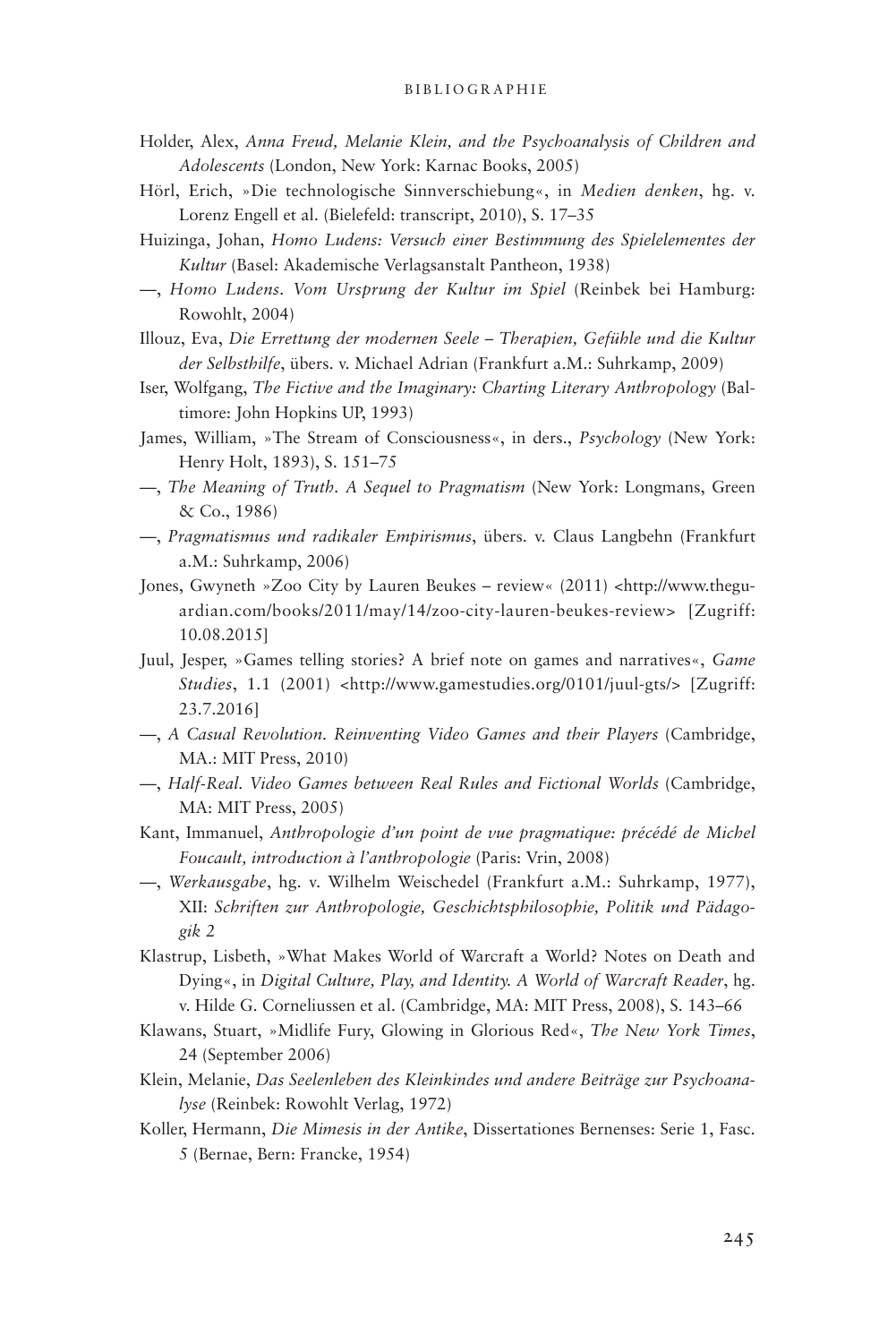- Holder, Alex, *Anna Freud, Melanie Klein, and the Psychoanalysis of Children and Adolescents* (London, New York: Karnac Books, 2005)
- Hörl, Erich, »Die technologische Sinnverschiebung«, in *Medien denken*, hg. v. Lorenz Engell et al. (Bielefeld: transcript, 2010), S. 17–35
- Huizinga, Johan, *Homo Ludens: Versuch einer Bestimmung des Spielelementes der Kultur* (Basel: Akademische Verlagsanstalt Pantheon, 1938)
- —, *Homo Ludens. Vom Ursprung der Kultur im Spiel* (Reinbek bei Hamburg: Rowohlt, 2004)
- Illouz, Eva, *Die Errettung der modernen Seele Therapien, Gefühle und die Kultur der Selbsthilfe*, übers. v. Michael Adrian (Frankfurt a.M.: Suhrkamp, 2009)
- Iser, Wolfgang, *The Fictive and the Imaginary: Charting Literary Anthropology* (Baltimore: John Hopkins UP, 1993)
- James, William, »The Stream of Consciousness«, in ders., *Psychology* (New York: Henry Holt, 1893), S. 151–75
- —, *The Meaning of Truth. A Sequel to Pragmatism* (New York: Longmans, Green & Co., 1986)
- —, *Pragmatismus und radikaler Empirismus*, übers. v. Claus Langbehn (Frankfurt a.M.: Suhrkamp, 2006)
- Jones, Gwyneth »Zoo City by Lauren Beukes review« (2011) <http://www.theguardian.com/books/2011/may/14/zoo-city-lauren-beukes-review> [Zugriff: 10.08.2015]
- Juul, Jesper, »Games telling stories? A brief note on games and narratives«, *Game Studies*, 1.1 (2001) <http://www.gamestudies.org/0101/juul-gts/> [Zugriff: 23.7.2016]
- —, *A Casual Revolution. Reinventing Video Games and their Players* (Cambridge, MA.: MIT Press, 2010)
- —, *Half-Real. Video Games between Real Rules and Fictional Worlds* (Cambridge, MA: MIT Press, 2005)
- Kant, Immanuel, *Anthropologie d'un point de vue pragmatique: précédé de Michel Foucault, introduction à l'anthropologie* (Paris: Vrin, 2008)
- —, *Werkausgabe*, hg. v. Wilhelm Weischedel (Frankfurt a.M.: Suhrkamp, 1977), XII: *Schriften zur Anthropologie, Geschichtsphilosophie, Politik und Pädagogik 2*
- Klastrup, Lisbeth, »What Makes World of Warcraft a World? Notes on Death and Dying«, in *Digital Culture, Play, and Identity. A World of Warcraft Reader*, hg. v. Hilde G. Corneliussen et al. (Cambridge, MA: MIT Press, 2008), S. 143–66
- Klawans, Stuart, »Midlife Fury, Glowing in Glorious Red«, *The New York Times*, 24 (September 2006)
- Klein, Melanie, *Das Seelenleben des Kleinkindes und andere Beiträge zur Psychoanalyse* (Reinbek: Rowohlt Verlag, 1972)
- Koller, Hermann, *Die Mimesis in der Antike*, Dissertationes Bernenses: Serie 1, Fasc. 5 (Bernae, Bern: Francke, 1954)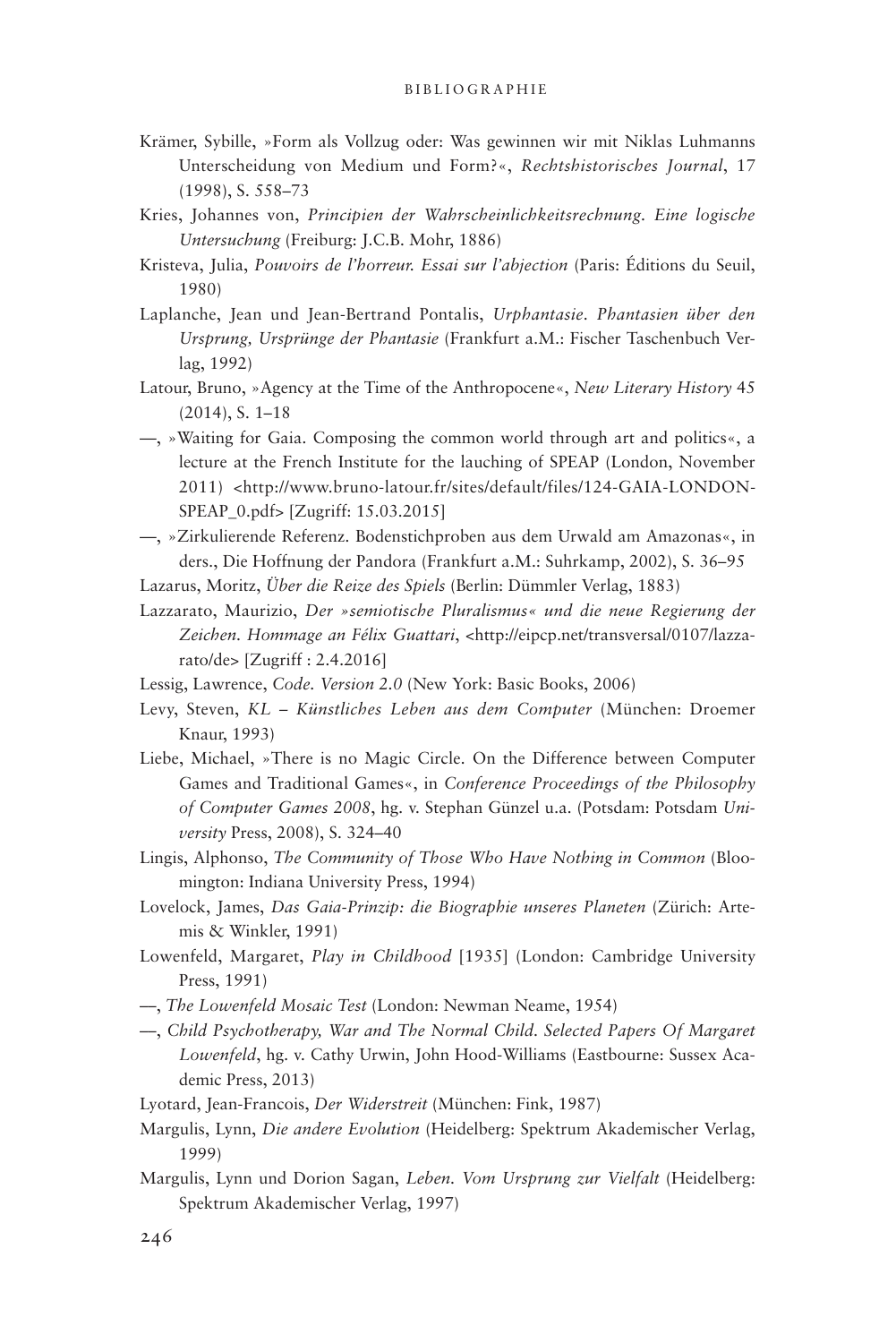- Krämer, Sybille, »Form als Vollzug oder: Was gewinnen wir mit Niklas Luhmanns Unterscheidung von Medium und Form?«, *Rechtshistorisches Journal*, 17 (1998), S. 558–73
- Kries, Johannes von, *Principien der Wahrscheinlichkeitsrechnung. Eine logische Untersuchung* (Freiburg: J.C.B. Mohr, 1886)
- Kristeva, Julia, *Pouvoirs de l'horreur. Essai sur l'abjection* (Paris: Éditions du Seuil, 1980)
- Laplanche, Jean und Jean-Bertrand Pontalis, *Urphantasie. Phantasien über den Ursprung, Ursprünge der Phantasie* (Frankfurt a.M.: Fischer Taschenbuch Verlag, 1992)
- Latour, Bruno, »Agency at the Time of the Anthropocene«, *New Literary History* 45 (2014), S. 1–18
- —, »Waiting for Gaia. Composing the common world through art and politics«, a lecture at the French Institute for the lauching of SPEAP (London, November 2011) <http://www.bruno-latour.fr/sites/default/files/124-GAIA-LONDON-SPEAP\_0.pdf> [Zugriff: 15.03.2015]
- —, »Zirkulierende Referenz. Bodenstichproben aus dem Urwald am Amazonas«, in ders., Die Hoffnung der Pandora (Frankfurt a.M.: Suhrkamp, 2002), S. 36–95
- Lazarus, Moritz, *Über die Reize des Spiels* (Berlin: Dümmler Verlag, 1883)
- Lazzarato, Maurizio, *Der »semiotische Pluralismus« und die neue Regierung der Zeichen. Hommage an Félix Guattari*, <http://eipcp.net/transversal/0107/lazzarato/de> [Zugriff : 2.4.2016]
- Lessig, Lawrence, *Code. Version 2.0* (New York: Basic Books, 2006)
- Levy, Steven, *KL Künstliches Leben aus dem Computer* (München: Droemer Knaur, 1993)
- Liebe, Michael, »There is no Magic Circle. On the Difference between Computer Games and Traditional Games«, in *Conference Proceedings of the Philosophy of Computer Games 2008*, hg. v. Stephan Günzel u.a. (Potsdam: Potsdam *University* Press, 2008), S. 324–40
- Lingis, Alphonso, *The Community of Those Who Have Nothing in Common* (Bloomington: Indiana University Press, 1994)
- Lovelock, James, *Das Gaia-Prinzip: die Biographie unseres Planeten* (Zürich: Artemis & Winkler, 1991)
- Lowenfeld, Margaret, *Play in Childhood* [1935] (London: Cambridge University Press, 1991)
- ––, *The Lowenfeld Mosaic Test* (London: Newman Neame, 1954)
- ––, *Child Psychotherapy, War and The Normal Child. Selected Papers Of Margaret Lowenfeld*, hg. v. Cathy Urwin, John Hood-Williams (Eastbourne: Sussex Academic Press, 2013)

Lyotard, Jean-Francois, *Der Widerstreit* (München: Fink, 1987)

- Margulis, Lynn, *Die andere Evolution* (Heidelberg: Spektrum Akademischer Verlag, 1999)
- Margulis, Lynn und Dorion Sagan, *Leben. Vom Ursprung zur Vielfalt* (Heidelberg: Spektrum Akademischer Verlag, 1997)

246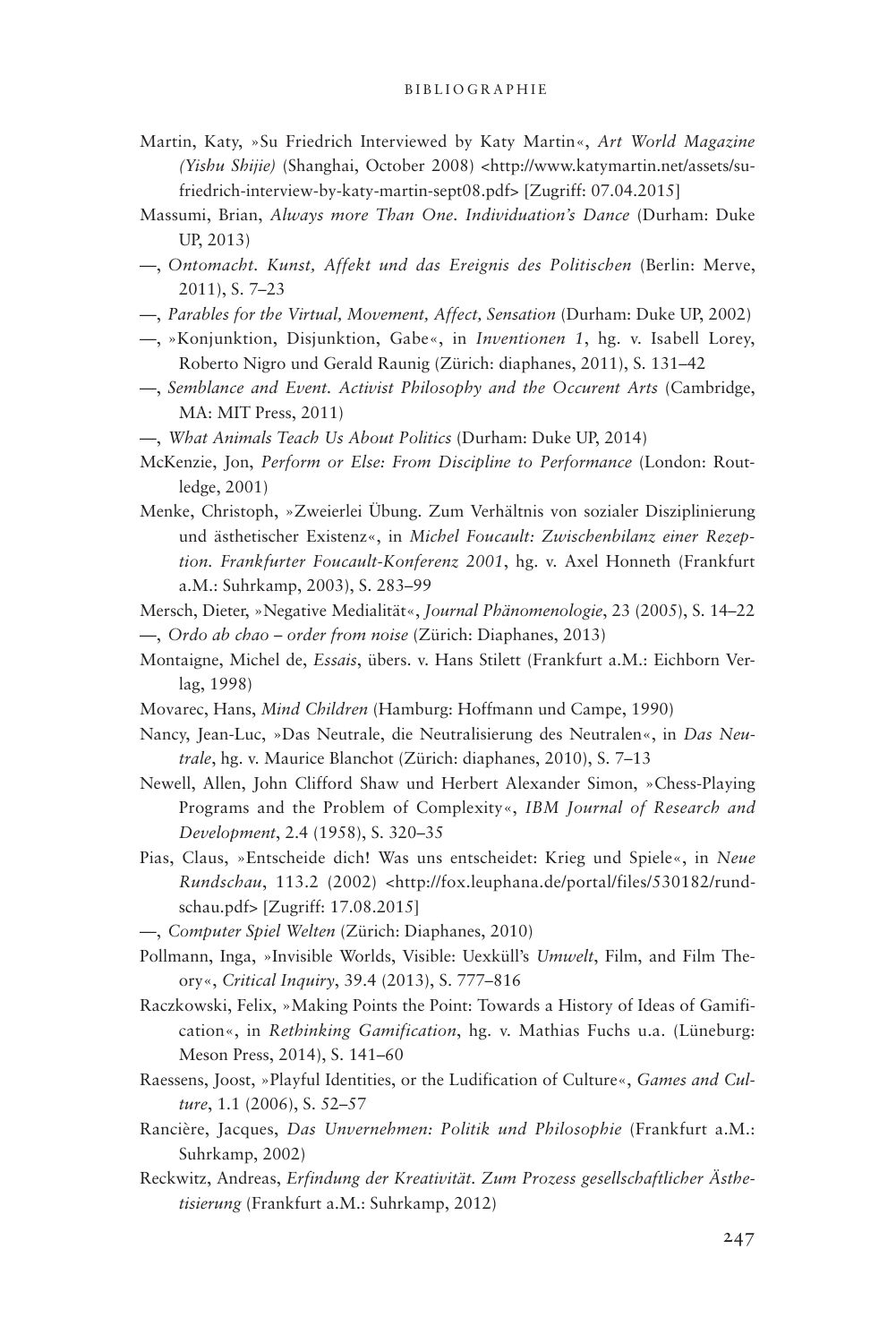- Martin, Katy, »Su Friedrich Interviewed by Katy Martin«, *Art World Magazine (Yishu Shijie)* (Shanghai, October 2008) <http://www.katymartin.net/assets/sufriedrich-interview-by-katy-martin-sept08.pdf> [Zugriff: 07.04.2015]
- Massumi, Brian, *Always more Than One. Individuation's Dance* (Durham: Duke UP, 2013)
- —, *Ontomacht. Kunst, Affekt und das Ereignis des Politischen* (Berlin: Merve, 2011), S. 7–23
- —, *Parables for the Virtual, Movement, Affect, Sensation* (Durham: Duke UP, 2002)
- —, »Konjunktion, Disjunktion, Gabe«, in *Inventionen 1*, hg. v. Isabell Lorey, Roberto Nigro und Gerald Raunig (Zürich: diaphanes, 2011), S. 131–42
- —, *Semblance and Event. Activist Philosophy and the Occurent Arts* (Cambridge, MA: MIT Press, 2011)
- —, *What Animals Teach Us About Politics* (Durham: Duke UP, 2014)
- McKenzie, Jon, *Perform or Else: From Discipline to Performance* (London: Routledge, 2001)
- Menke, Christoph, »Zweierlei Übung. Zum Verhältnis von sozialer Disziplinierung und ästhetischer Existenz«, in *Michel Foucault: Zwischenbilanz einer Rezeption. Frankfurter Foucault-Konferenz 2001*, hg. v. Axel Honneth (Frankfurt a.M.: Suhrkamp, 2003), S. 283–99
- Mersch, Dieter, »Negative Medialität«, *Journal Phänomenologie*, 23 (2005), S. 14–22 —, *Ordo ab chao – order from noise* (Zürich: Diaphanes, 2013)
- Montaigne, Michel de, *Essais*, übers. v. Hans Stilett (Frankfurt a.M.: Eichborn Verlag, 1998)
- Movarec, Hans, *Mind Children* (Hamburg: Hoffmann und Campe, 1990)
- Nancy, Jean-Luc, »Das Neutrale, die Neutralisierung des Neutralen«, in *Das Neutrale*, hg. v. Maurice Blanchot (Zürich: diaphanes, 2010), S. 7–13
- Newell, Allen, John Clifford Shaw und Herbert Alexander Simon, »Chess-Playing Programs and the Problem of Complexity«, *IBM Journal of Research and Development*, 2.4 (1958), S. 320–35
- Pias, Claus, »Entscheide dich! Was uns entscheidet: Krieg und Spiele«, in *Neue Rundschau*, 113.2 (2002) <http://fox.leuphana.de/portal/files/530182/rundschau.pdf> [Zugriff: 17.08.2015]
- —, *Computer Spiel Welten* (Zürich: Diaphanes, 2010)
- Pollmann, Inga, »Invisible Worlds, Visible: Uexküll's *Umwelt*, Film, and Film Theory«, *Critical Inquiry*, 39.4 (2013), S. 777–816
- Raczkowski, Felix, »Making Points the Point: Towards a History of Ideas of Gamification«, in *Rethinking Gamification*, hg. v. Mathias Fuchs u.a. (Lüneburg: Meson Press, 2014), S. 141–60
- Raessens, Joost, »Playful Identities, or the Ludification of Culture«, *Games and Culture*, 1.1 (2006), S. 52–57
- Rancière, Jacques, *Das Unvernehmen: Politik und Philosophie* (Frankfurt a.M.: Suhrkamp, 2002)
- Reckwitz, Andreas, *Erfindung der Kreativität. Zum Prozess gesellschaftlicher Ästhetisierung* (Frankfurt a.M.: Suhrkamp, 2012)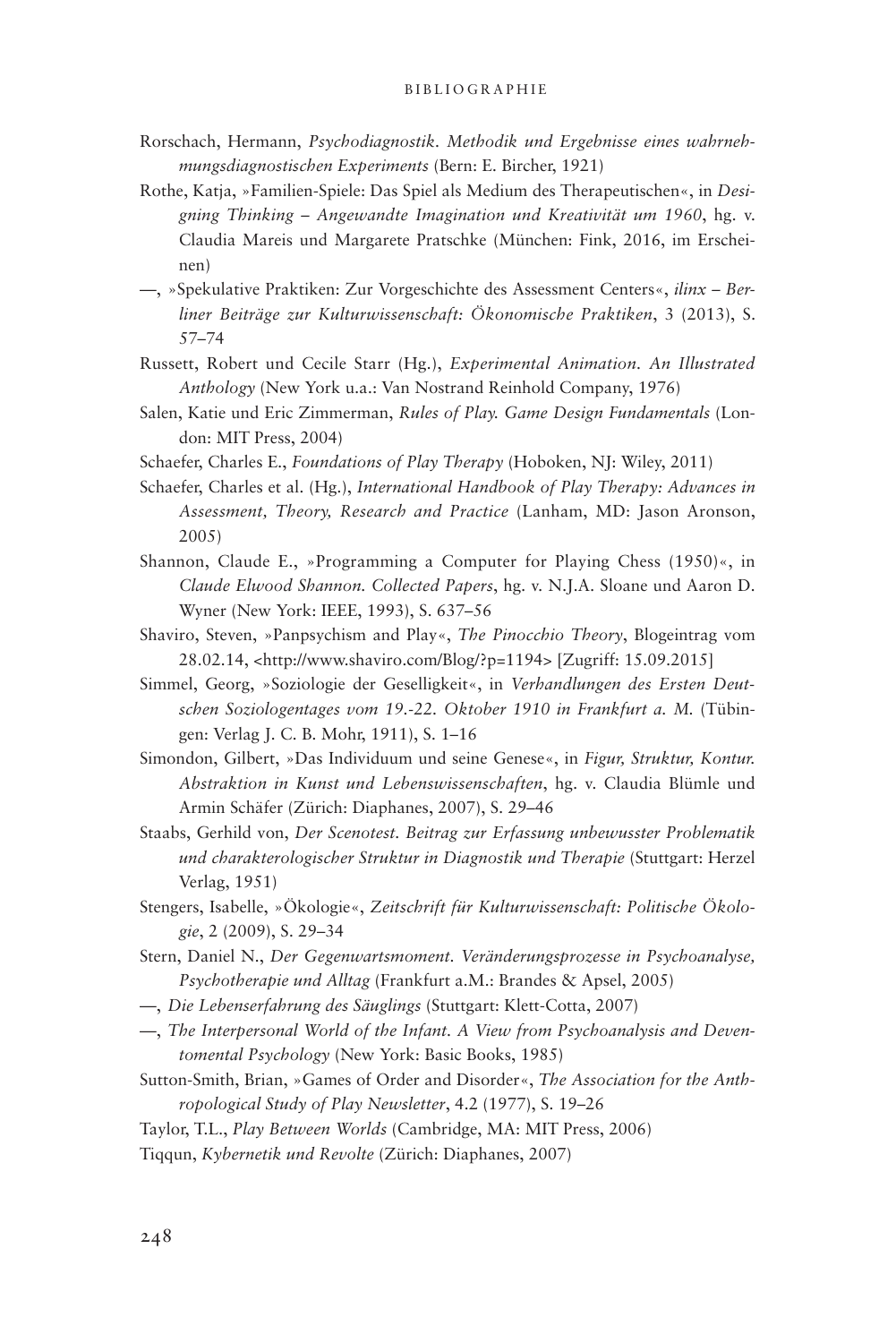- Rorschach, Hermann, *Psychodiagnostik. Methodik und Ergebnisse eines wahrnehmungsdiagnostischen Experiments* (Bern: E. Bircher, 1921)
- Rothe, Katja, »Familien-Spiele: Das Spiel als Medium des Therapeutischen«, in *Designing Thinking – Angewandte Imagination und Kreativität um 1960*, hg. v. Claudia Mareis und Margarete Pratschke (München: Fink, 2016, im Erscheinen)
- —, »Spekulative Praktiken: Zur Vorgeschichte des Assessment Centers«, *ilinx Berliner Beiträge zur Kulturwissenschaft: Ökonomische Praktiken*, 3 (2013), S. 57–74
- Russett, Robert und Cecile Starr (Hg.), *Experimental Animation. An Illustrated Anthology* (New York u.a.: Van Nostrand Reinhold Company, 1976)
- Salen, Katie und Eric Zimmerman, *Rules of Play. Game Design Fundamentals* (London: MIT Press, 2004)
- Schaefer, Charles E., *Foundations of Play Therapy* (Hoboken, NJ: Wiley, 2011)
- Schaefer, Charles et al. (Hg.), *International Handbook of Play Therapy: Advances in Assessment, Theory, Research and Practice* (Lanham, MD: Jason Aronson, 2005)
- Shannon, Claude E., »Programming a Computer for Playing Chess (1950)«, in *Claude Elwood Shannon. Collected Papers*, hg. v. N.J.A. Sloane und Aaron D. Wyner (New York: IEEE, 1993), S. 637–56
- Shaviro, Steven, »Panpsychism and Play«, *The Pinocchio Theory*, Blogeintrag vom 28.02.14, <http://www.shaviro.com/Blog/?p=1194> [Zugriff: 15.09.2015]
- Simmel, Georg, »Soziologie der Geselligkeit«, in *Verhandlungen des Ersten Deutschen Soziologentages vom 19.-22. Oktober 1910 in Frankfurt a. M.* (Tübingen: Verlag J. C. B. Mohr, 1911), S. 1–16
- Simondon, Gilbert, »Das Individuum und seine Genese«, in *Figur, Struktur, Kontur. Abstraktion in Kunst und Lebenswissenschaften*, hg. v. Claudia Blümle und Armin Schäfer (Zürich: Diaphanes, 2007), S. 29–46
- Staabs, Gerhild von, *Der Scenotest. Beitrag zur Erfassung unbewusster Problematik und charakterologischer Struktur in Diagnostik und Therapie* (Stuttgart: Herzel Verlag, 1951)
- Stengers, Isabelle, »Ökologie«, *Zeitschrift für Kulturwissenschaft: Politische Ökologie*, 2 (2009), S. 29–34
- Stern, Daniel N., *Der Gegenwartsmoment. Veränderungsprozesse in Psychoanalyse, Psychotherapie und Alltag* (Frankfurt a.M.: Brandes & Apsel, 2005)
- —, *Die Lebenserfahrung des Säuglings* (Stuttgart: Klett-Cotta, 2007)
- —, *The Interpersonal World of the Infant. A View from Psychoanalysis and Deventomental Psychology* (New York: Basic Books, 1985)
- Sutton-Smith, Brian, »Games of Order and Disorder«, *The Association for the Anthropological Study of Play Newsletter*, 4.2 (1977), S. 19–26
- Taylor, T.L., *Play Between Worlds* (Cambridge, MA: MIT Press, 2006)

Tiqqun, *Kybernetik und Revolte* (Zürich: Diaphanes, 2007)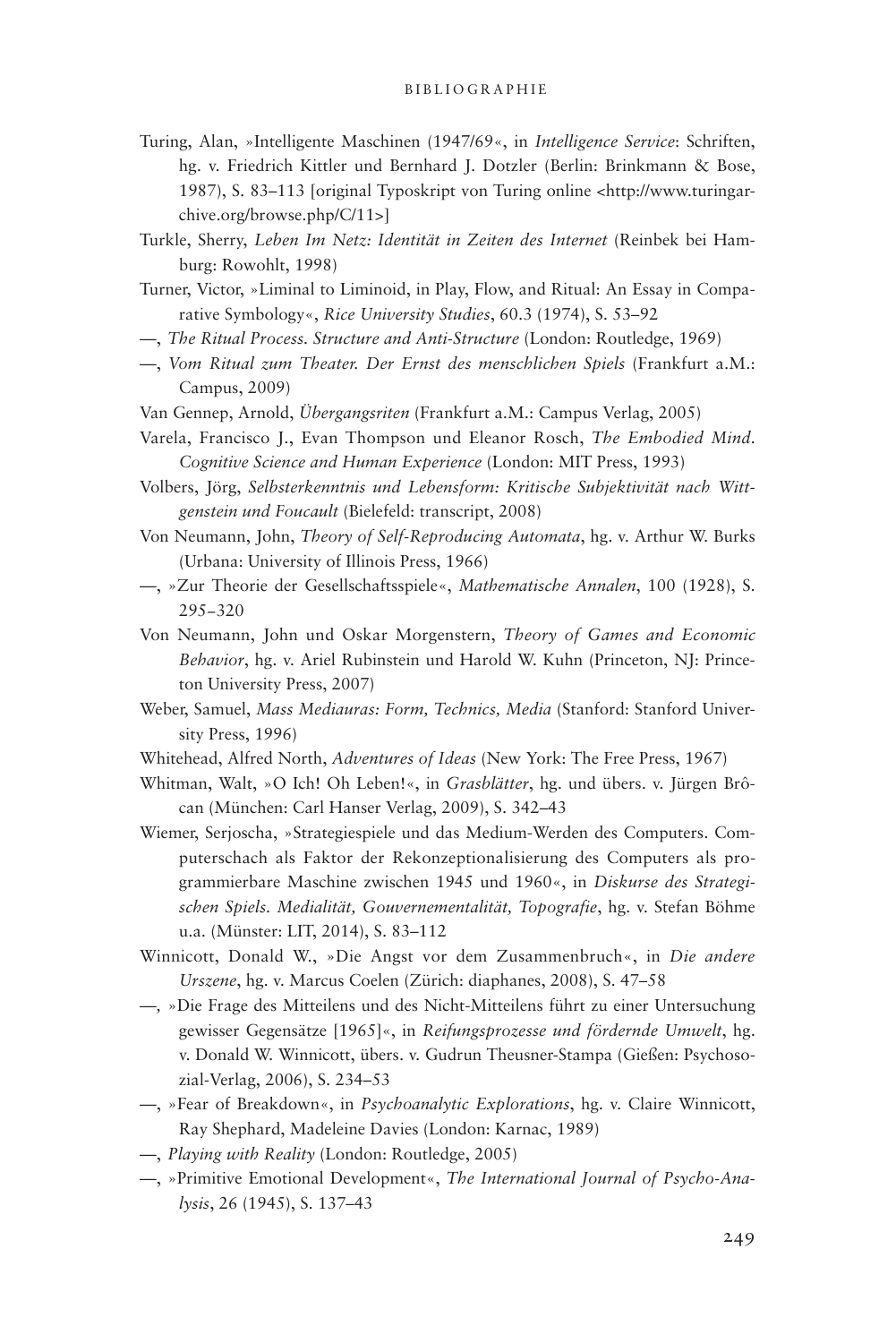- Turing, Alan, »Intelligente Maschinen (1947/69«, in *Intelligence Service*: Schriften, hg. v. Friedrich Kittler und Bernhard J. Dotzler (Berlin: Brinkmann & Bose, 1987), S. 83–113 [original Typoskript von Turing online <http://www.turingarchive.org/browse.php/C/11>]
- Turkle, Sherry, *Leben Im Netz: Identität in Zeiten des Internet* (Reinbek bei Hamburg: Rowohlt, 1998)
- Turner, Victor, »Liminal to Liminoid, in Play, Flow, and Ritual: An Essay in Comparative Symbology«, *Rice University Studies*, 60.3 (1974), S. 53–92
- —, *The Ritual Process. Structure and Anti-Structure* (London: Routledge, 1969)
- —, *Vom Ritual zum Theater. Der Ernst des menschlichen Spiels* (Frankfurt a.M.: Campus, 2009)
- Van Gennep, Arnold, *Übergangsriten* (Frankfurt a.M.: Campus Verlag, 2005)
- Varela, Francisco J., Evan Thompson und Eleanor Rosch, *The Embodied Mind. Cognitive Science and Human Experience* (London: MIT Press, 1993)
- Volbers, Jörg, *Selbsterkenntnis und Lebensform: Kritische Subjektivität nach Wittgenstein und Foucault* (Bielefeld: transcript, 2008)
- Von Neumann, John, *Theory of Self-Reproducing Automata*, hg. v. Arthur W. Burks (Urbana: University of Illinois Press, 1966)
- —, »Zur Theorie der Gesellschaftsspiele«, *Mathematische Annalen*, 100 (1928), S. 295−320
- Von Neumann, John und Oskar Morgenstern, *Theory of Games and Economic Behavior*, hg. v. Ariel Rubinstein und Harold W. Kuhn (Princeton, NJ: Princeton University Press, 2007)
- Weber, Samuel, *Mass Mediauras: Form, Technics, Media* (Stanford: Stanford University Press, 1996)
- Whitehead, Alfred North, *Adventures of Ideas* (New York: The Free Press, 1967)
- Whitman, Walt, »O Ich! Oh Leben!«, in *Grasblätter*, hg. und übers. v. Jürgen Brôcan (München: Carl Hanser Verlag, 2009), S. 342–43
- Wiemer, Serjoscha, »Strategiespiele und das Medium-Werden des Computers. Computerschach als Faktor der Rekonzeptionalisierung des Computers als programmierbare Maschine zwischen 1945 und 1960«, in *Diskurse des Strategischen Spiels. Medialität, Gouvernementalität, Topografie*, hg. v. Stefan Böhme u.a. (Münster: LIT, 2014), S. 83–112
- Winnicott, Donald W., »Die Angst vor dem Zusammenbruch«, in *Die andere Urszene*, hg. v. Marcus Coelen (Zürich: diaphanes, 2008), S. 47–58
- *—,* »Die Frage des Mitteilens und des Nicht-Mitteilens führt zu einer Untersuchung gewisser Gegensätze [1965]«, in *Reifungsprozesse und fördernde Umwelt*, hg. v. Donald W. Winnicott, übers. v. Gudrun Theusner-Stampa (Gießen: Psychosozial-Verlag, 2006), S. 234–53
- —, »Fear of Breakdown«, in *Psychoanalytic Explorations*, hg. v. Claire Winnicott, Ray Shephard, Madeleine Davies (London: Karnac, 1989)
- —, *Playing with Reality* (London: Routledge, 2005)
- —, »Primitive Emotional Development«, *The International Journal of Psycho-Analysis*, 26 (1945), S. 137–43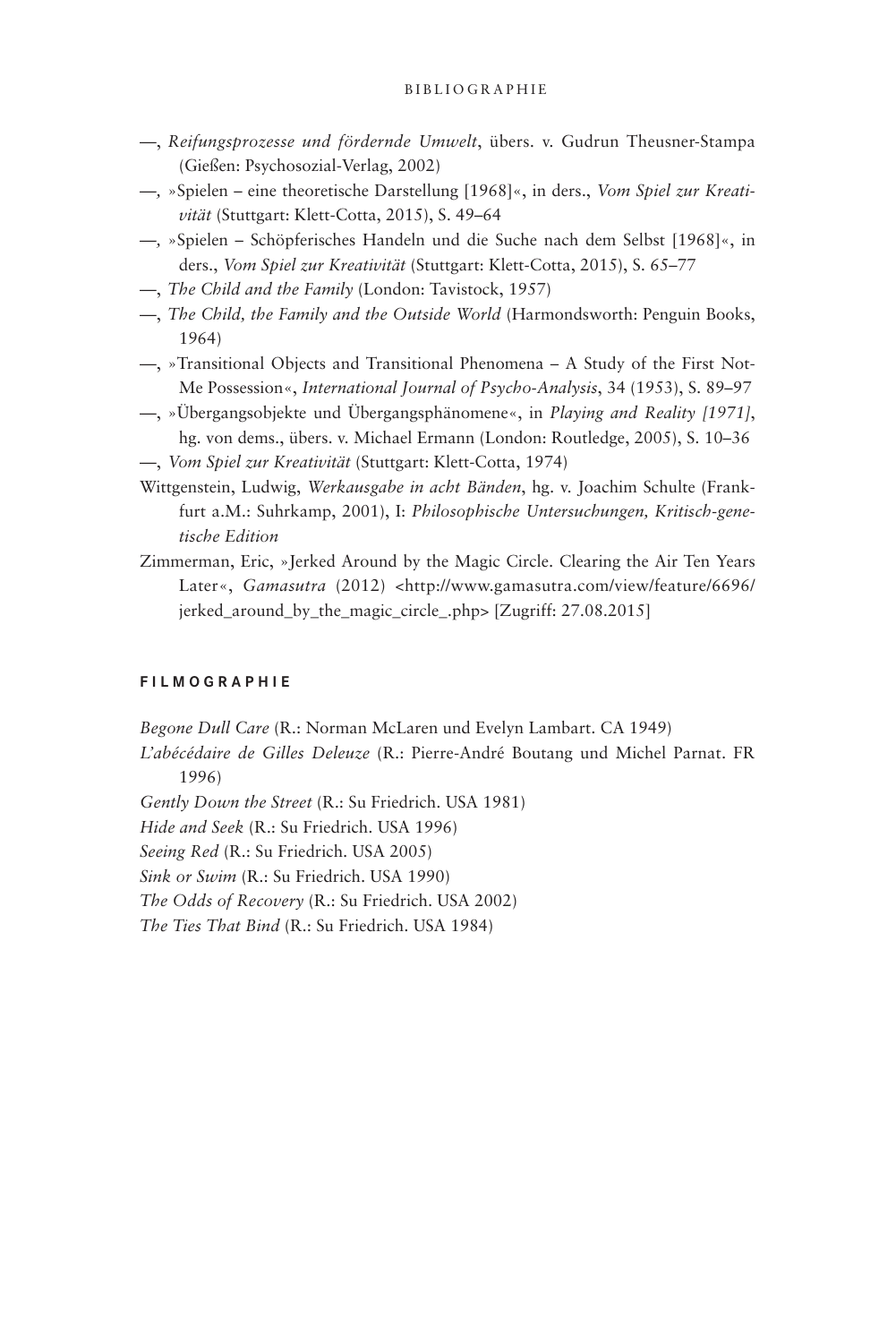- —, *Reifungsprozesse und fördernde Umwelt*, übers. v. Gudrun Theusner-Stampa (Gießen: Psychosozial-Verlag, 2002)
- *—,* »Spielen eine theoretische Darstellung [1968]«, in ders., *Vom Spiel zur Kreativität* (Stuttgart: Klett-Cotta, 2015), S. 49–64
- *—,* »Spielen Schöpferisches Handeln und die Suche nach dem Selbst [1968]«, in ders., *Vom Spiel zur Kreativität* (Stuttgart: Klett-Cotta, 2015), S. 65–77
- —, *The Child and the Family* (London: Tavistock, 1957)
- —, *The Child, the Family and the Outside World* (Harmondsworth: Penguin Books, 1964)
- —, »Transitional Objects and Transitional Phenomena A Study of the First Not-Me Possession«, *International Journal of Psycho-Analysis*, 34 (1953), S. 89–97
- —, »Übergangsobjekte und Übergangsphänomene«, in *Playing and Reality [1971]*, hg. von dems., übers. v. Michael Ermann (London: Routledge, 2005), S. 10–36
- —, *Vom Spiel zur Kreativität* (Stuttgart: Klett-Cotta, 1974)
- Wittgenstein, Ludwig, *Werkausgabe in acht Bänden*, hg. v. Joachim Schulte (Frankfurt a.M.: Suhrkamp, 2001), I: *Philosophische Untersuchungen, Kritisch-genetische Edition*
- Zimmerman, Eric, »Jerked Around by the Magic Circle. Clearing the Air Ten Years Later«, *Gamasutra* (2012) <http://www.gamasutra.com/view/feature/6696/ jerked\_around\_by\_the\_magic\_circle\_.php> [Zugriff: 27.08.2015]

### **FILMOGRAPHIE**

*Begone Dull Care* (R.: Norman McLaren und Evelyn Lambart. CA 1949)

*L'abécédaire de Gilles Deleuze* (R.: Pierre-André Boutang und Michel Parnat. FR 1996)

*Gently Down the Street* (R.: Su Friedrich. USA 1981)

*Hide and Seek* (R.: Su Friedrich. USA 1996)

*Seeing Red* (R.: Su Friedrich. USA 2005)

*Sink or Swim* (R.: Su Friedrich. USA 1990)

*The Odds of Recovery* (R.: Su Friedrich. USA 2002)

*The Ties That Bind* (R.: Su Friedrich. USA 1984)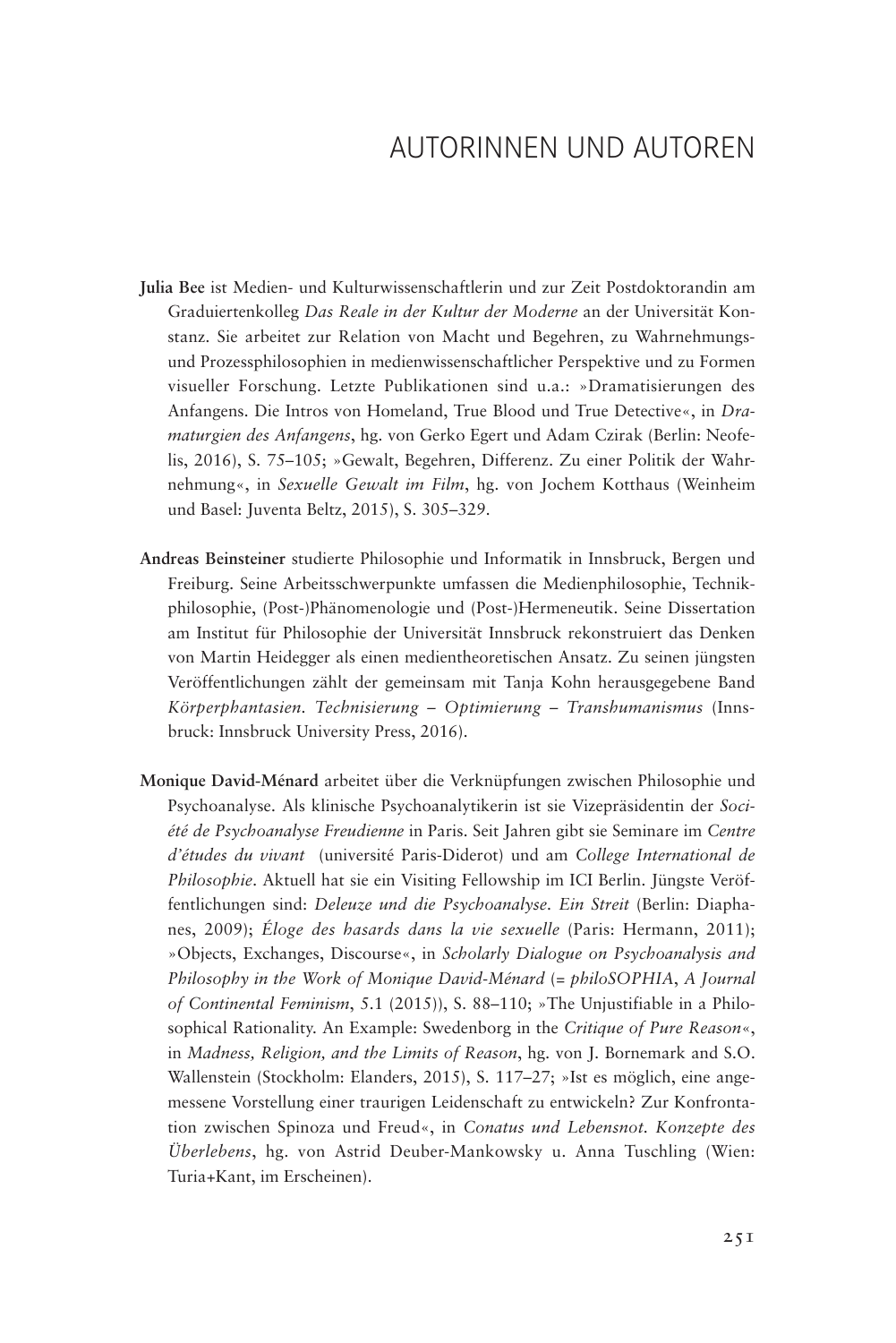# AUTORINNEN UND AUTOREN

- **Julia Bee** ist Medien- und Kulturwissenschaftlerin und zur Zeit Postdoktorandin am Graduiertenkolleg *Das Reale in der Kultur der Moderne* an der Universität Konstanz. Sie arbeitet zur Relation von Macht und Begehren, zu Wahrnehmungsund Prozessphilosophien in medienwissenschaftlicher Perspektive und zu Formen visueller Forschung. Letzte Publikationen sind u.a.: »Dramatisierungen des Anfangens. Die Intros von Homeland, True Blood und True Detective«, in *Dramaturgien des Anfangens*, hg. von Gerko Egert und Adam Czirak (Berlin: Neofelis, 2016), S. 75–105; »Gewalt, Begehren, Differenz. Zu einer Politik der Wahrnehmung«, in *Sexuelle Gewalt im Film*, hg. von Jochem Kotthaus (Weinheim und Basel: Juventa Beltz, 2015), S. 305–329.
- **Andreas Beinsteiner** studierte Philosophie und Informatik in Innsbruck, Bergen und Freiburg. Seine Arbeitsschwerpunkte umfassen die Medienphilosophie, Technikphilosophie, (Post-)Phänomenologie und (Post-)Hermeneutik. Seine Dissertation am Institut für Philosophie der Universität Innsbruck rekonstruiert das Denken von Martin Heidegger als einen medientheoretischen Ansatz. Zu seinen jüngsten Veröffentlichungen zählt der gemeinsam mit Tanja Kohn herausgegebene Band *Körperphantasien. Technisierung – Optimierung – Transhumanismus* (Innsbruck: Innsbruck University Press, 2016).
- **Monique David-Ménard** arbeitet über die Verknüpfungen zwischen Philosophie und Psychoanalyse. Als klinische Psychoanalytikerin ist sie Vizepräsidentin der *Société de Psychoanalyse Freudienne* in Paris. Seit Jahren gibt sie Seminare im *Centre d'études du vivant* (université Paris-Diderot) und am *College International de Philosophie*. Aktuell hat sie ein Visiting Fellowship im ICI Berlin. Jüngste Veröffentlichungen sind: *Deleuze und die Psychoanalyse. Ein Streit* (Berlin: Diaphanes, 2009); *Éloge des hasards dans la vie sexuelle* (Paris: Hermann, 2011); »Objects, Exchanges, Discourse«, in *Scholarly Dialogue on Psychoanalysis and Philosophy in the Work of Monique David-Ménard* (= *philoSOPHIA*, *A Journal of Continental Feminism*, 5.1 (2015)), S. 88–110; »The Unjustifiable in a Philosophical Rationality. An Example: Swedenborg in the *Critique of Pure Reason*«, in *Madness, Religion, and the Limits of Reason*, hg. von J. Bornemark and S.O. Wallenstein (Stockholm: Elanders, 2015), S. 117–27; »Ist es möglich, eine angemessene Vorstellung einer traurigen Leidenschaft zu entwickeln? Zur Konfrontation zwischen Spinoza und Freud«, in *Conatus und Lebensnot. Konzepte des Überlebens*, hg. von Astrid Deuber-Mankowsky u. Anna Tuschling (Wien: Turia+Kant, im Erscheinen).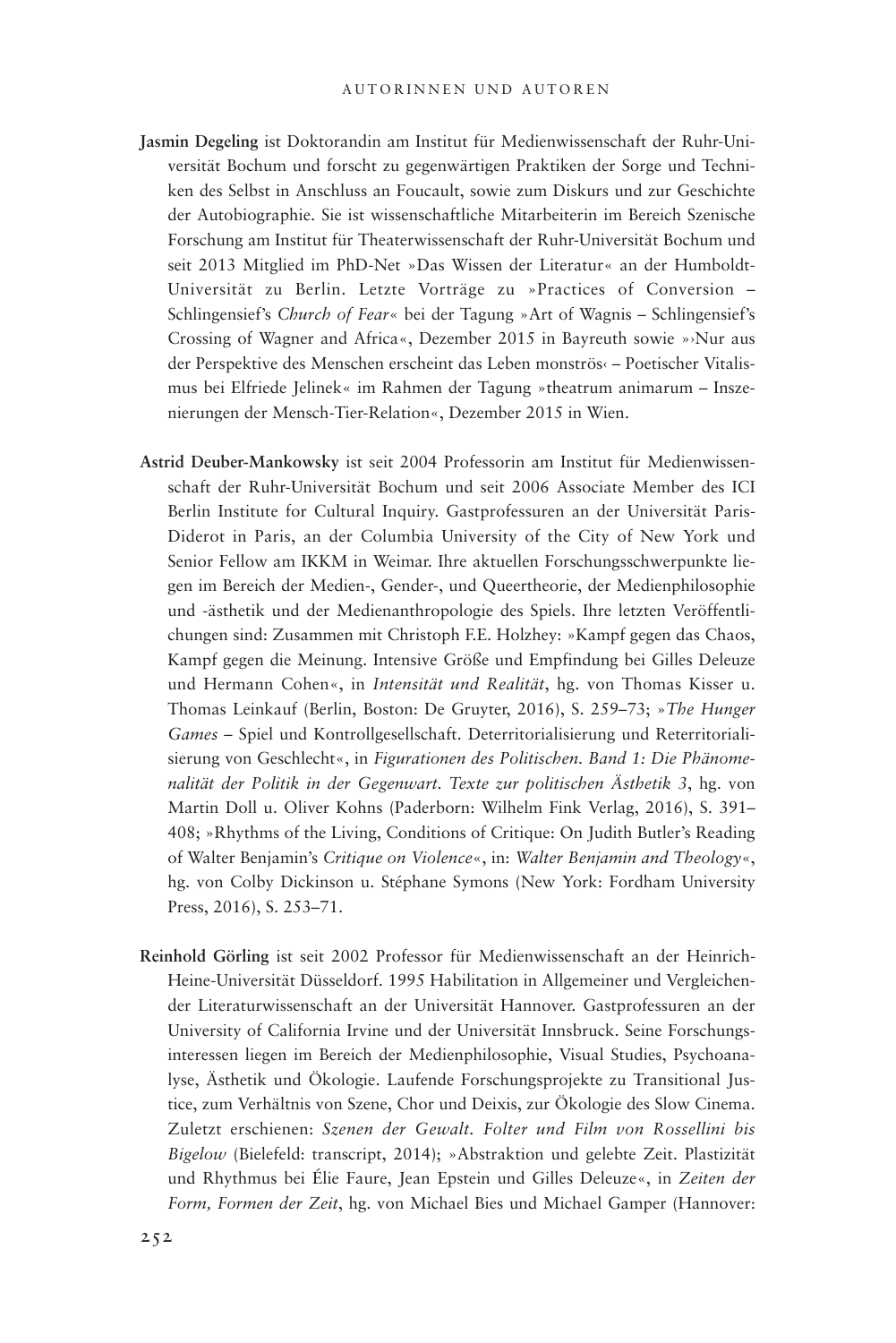- **Jasmin Degeling** ist Doktorandin am Institut für Medienwissenschaft der Ruhr-Universität Bochum und forscht zu gegenwärtigen Praktiken der Sorge und Techniken des Selbst in Anschluss an Foucault, sowie zum Diskurs und zur Geschichte der Autobiographie. Sie ist wissenschaftliche Mitarbeiterin im Bereich Szenische Forschung am Institut für Theaterwissenschaft der Ruhr-Universität Bochum und seit 2013 Mitglied im PhD-Net »Das Wissen der Literatur« an der Humboldt-Universität zu Berlin. Letzte Vorträge zu »Practices of Conversion – Schlingensief's *Church of Fear*« bei der Tagung »Art of Wagnis – Schlingensief's Crossing of Wagner and Africa«, Dezember 2015 in Bayreuth sowie »›Nur aus der Perspektive des Menschen erscheint das Leben monströs‹ – Poetischer Vitalismus bei Elfriede Jelinek« im Rahmen der Tagung »theatrum animarum – Inszenierungen der Mensch-Tier-Relation«, Dezember 2015 in Wien.
- **Astrid Deuber-Mankowsky** ist seit 2004 Professorin am Institut für Medienwissenschaft der Ruhr-Universität Bochum und seit 2006 Associate Member des ICI Berlin Institute for Cultural Inquiry. Gastprofessuren an der Universität Paris-Diderot in Paris, an der Columbia University of the City of New York und Senior Fellow am IKKM in Weimar. Ihre aktuellen Forschungsschwerpunkte liegen im Bereich der Medien-, Gender-, und Queertheorie, der Medienphilosophie und -ästhetik und der Medienanthropologie des Spiels. Ihre letzten Veröffentlichungen sind: Zusammen mit Christoph F.E. Holzhey: »Kampf gegen das Chaos, Kampf gegen die Meinung. Intensive Größe und Empfindung bei Gilles Deleuze und Hermann Cohen«, in *Intensität und Realität*, hg. von Thomas Kisser u. Thomas Leinkauf (Berlin, Boston: De Gruyter, 2016), S. 259–73; »*The Hunger Games* – Spiel und Kontrollgesellschaft. Deterritorialisierung und Reterritorialisierung von Geschlecht«, in *Figurationen des Politischen. Band 1: Die Phänomenalität der Politik in der Gegenwart. Texte zur politischen Ästhetik 3*, hg. von Martin Doll u. Oliver Kohns (Paderborn: Wilhelm Fink Verlag, 2016), S. 391– 408; »Rhythms of the Living, Conditions of Critique: On Judith Butler's Reading of Walter Benjamin's *Critique on Violence*«, in: *Walter Benjamin and Theology*«, hg. von Colby Dickinson u. Stéphane Symons (New York: Fordham University Press, 2016), S. 253–71.
- **Reinhold Görling** ist seit 2002 Professor für Medienwissenschaft an der Heinrich-Heine-Universität Düsseldorf. 1995 Habilitation in Allgemeiner und Vergleichender Literaturwissenschaft an der Universität Hannover. Gastprofessuren an der University of California Irvine und der Universität Innsbruck. Seine Forschungsinteressen liegen im Bereich der Medienphilosophie, Visual Studies, Psychoanalyse, Ästhetik und Ökologie. Laufende Forschungsprojekte zu Transitional Justice, zum Verhältnis von Szene, Chor und Deixis, zur Ökologie des Slow Cinema. Zuletzt erschienen: *Szenen der Gewalt. Folter und Film von Rossellini bis Bigelow* (Bielefeld: transcript, 2014); »Abstraktion und gelebte Zeit. Plastizität und Rhythmus bei Élie Faure, Jean Epstein und Gilles Deleuze«, in *Zeiten der Form, Formen der Zeit*, hg. von Michael Bies und Michael Gamper (Hannover: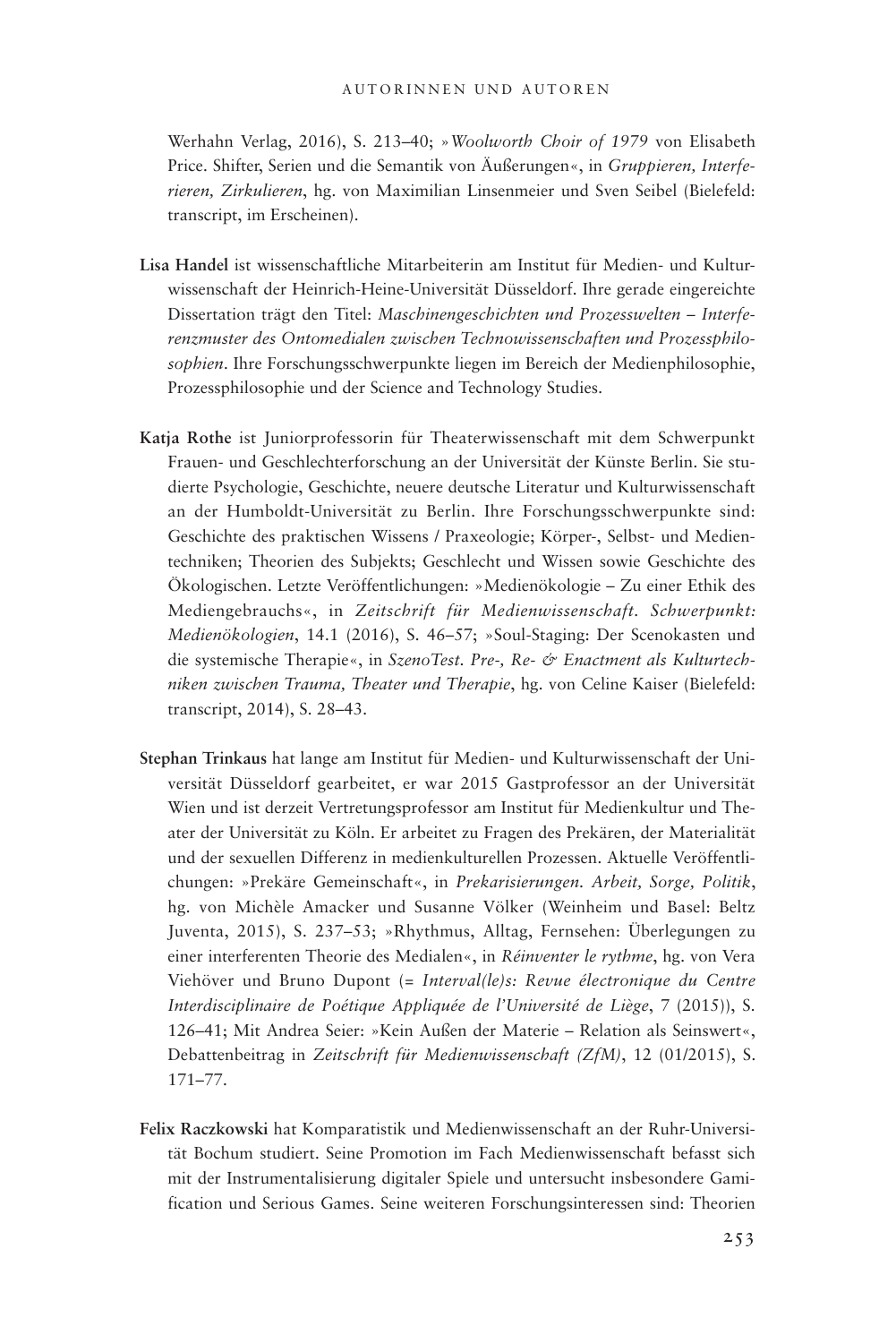Werhahn Verlag, 2016), S. 213–40; »*Woolworth Choir of 1979* von Elisabeth Price. Shifter, Serien und die Semantik von Äußerungen«, in *Gruppieren, Interferieren, Zirkulieren*, hg. von Maximilian Linsenmeier und Sven Seibel (Bielefeld: transcript, im Erscheinen).

- **Lisa Handel** ist wissenschaftliche Mitarbeiterin am Institut für Medien- und Kulturwissenschaft der Heinrich-Heine-Universität Düsseldorf. Ihre gerade eingereichte Dissertation trägt den Titel: *Maschinengeschichten und Prozesswelten – Interferenzmuster des Ontomedialen zwischen Technowissenschaften und Prozessphilosophien*. Ihre Forschungsschwerpunkte liegen im Bereich der Medienphilosophie, Prozessphilosophie und der Science and Technology Studies.
- **Katja Rothe** ist Juniorprofessorin für Theaterwissenschaft mit dem Schwerpunkt Frauen- und Geschlechterforschung an der Universität der Künste Berlin. Sie studierte Psychologie, Geschichte, neuere deutsche Literatur und Kulturwissenschaft an der Humboldt-Universität zu Berlin. Ihre Forschungsschwerpunkte sind: Geschichte des praktischen Wissens / Praxeologie; Körper-, Selbst- und Medientechniken; Theorien des Subjekts; Geschlecht und Wissen sowie Geschichte des Ökologischen. Letzte Veröffentlichungen: »Medienökologie – Zu einer Ethik des Mediengebrauchs«, in *Zeitschrift für Medienwissenschaft. Schwerpunkt: Medienökologien*, 14.1 (2016), S. 46–57; »Soul-Staging: Der Scenokasten und die systemische Therapie«, in *SzenoTest. Pre-, Re- & Enactment als Kulturtechniken zwischen Trauma, Theater und Therapie*, hg. von Celine Kaiser (Bielefeld: transcript, 2014), S. 28–43.
- **Stephan Trinkaus** hat lange am Institut für Medien- und Kulturwissenschaft der Universität Düsseldorf gearbeitet, er war 2015 Gastprofessor an der Universität Wien und ist derzeit Vertretungsprofessor am Institut für Medienkultur und Theater der Universität zu Köln. Er arbeitet zu Fragen des Prekären, der Materialität und der sexuellen Differenz in medienkulturellen Prozessen. Aktuelle Veröffentlichungen: »Prekäre Gemeinschaft«, in *Prekarisierungen. Arbeit, Sorge, Politik*, hg. von Michèle Amacker und Susanne Völker (Weinheim und Basel: Beltz Juventa, 2015), S. 237–53; »Rhythmus, Alltag, Fernsehen: Überlegungen zu einer interferenten Theorie des Medialen«, in *Réinventer le rythme*, hg. von Vera Viehöver und Bruno Dupont (= *Interval(le)s: Revue électronique du Centre Interdisciplinaire de Poétique Appliquée de l'Université de Liège*, 7 (2015)), S. 126–41; Mit Andrea Seier: »Kein Außen der Materie – Relation als Seinswert«, Debattenbeitrag in *Zeitschrift für Medienwissenschaft (ZfM)*, 12 (01/2015), S. 171–77.
- **Felix Raczkowski** hat Komparatistik und Medienwissenschaft an der Ruhr-Universität Bochum studiert. Seine Promotion im Fach Medienwissenschaft befasst sich mit der Instrumentalisierung digitaler Spiele und untersucht insbesondere Gamification und Serious Games. Seine weiteren Forschungsinteressen sind: Theorien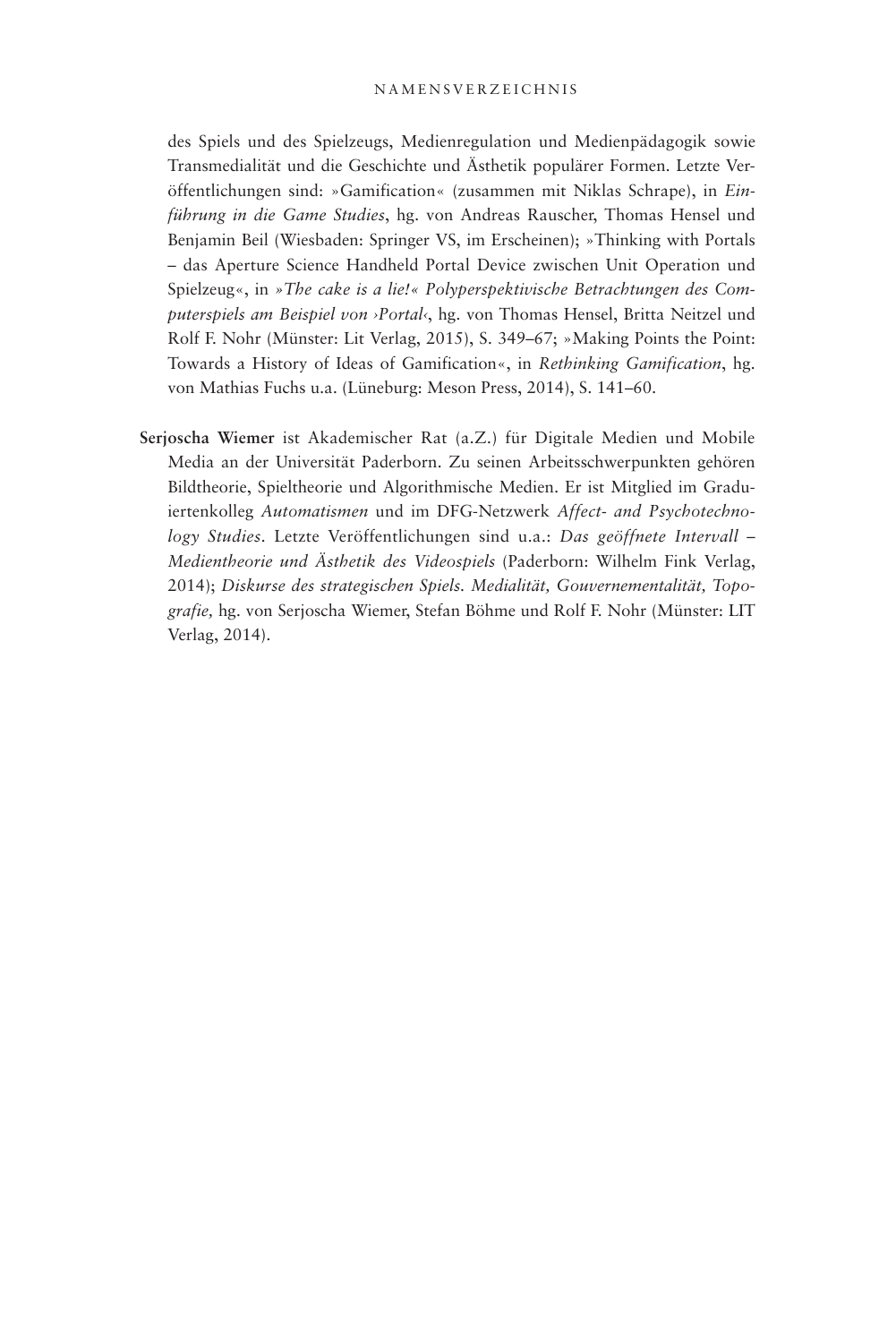### N amensverzeichnis

des Spiels und des Spielzeugs, Medienregulation und Medienpädagogik sowie Transmedialität und die Geschichte und Ästhetik populärer Formen. Letzte Veröffentlichungen sind: »Gamification« (zusammen mit Niklas Schrape), in *Einführung in die Game Studies*, hg. von Andreas Rauscher, Thomas Hensel und Benjamin Beil (Wiesbaden: Springer VS, im Erscheinen); »Thinking with Portals – das Aperture Science Handheld Portal Device zwischen Unit Operation und Spielzeug«, in *»The cake is a lie!« Polyperspektivische Betrachtungen des Computerspiels am Beispiel von ›Portal‹*, hg. von Thomas Hensel, Britta Neitzel und Rolf F. Nohr (Münster: Lit Verlag, 2015), S. 349–67; »Making Points the Point: Towards a History of Ideas of Gamification«, in *Rethinking Gamification*, hg. von Mathias Fuchs u.a. (Lüneburg: Meson Press, 2014), S. 141–60.

**Serjoscha Wiemer** ist Akademischer Rat (a.Z.) für Digitale Medien und Mobile Media an der Universität Paderborn. Zu seinen Arbeitsschwerpunkten gehören Bildtheorie, Spieltheorie und Algorithmische Medien. Er ist Mitglied im Graduiertenkolleg *Automatismen* und im DFG-Netzwerk *Affect- and Psychotechnology Studies*. Letzte Veröffentlichungen sind u.a.: *Das geöffnete Intervall – Medientheorie und Ästhetik des Videospiels* (Paderborn: Wilhelm Fink Verlag, 2014); *Diskurse des strategischen Spiels. Medialität, Gouvernementalität, Topografie,* hg. von Serjoscha Wiemer, Stefan Böhme und Rolf F. Nohr (Münster: LIT Verlag, 2014).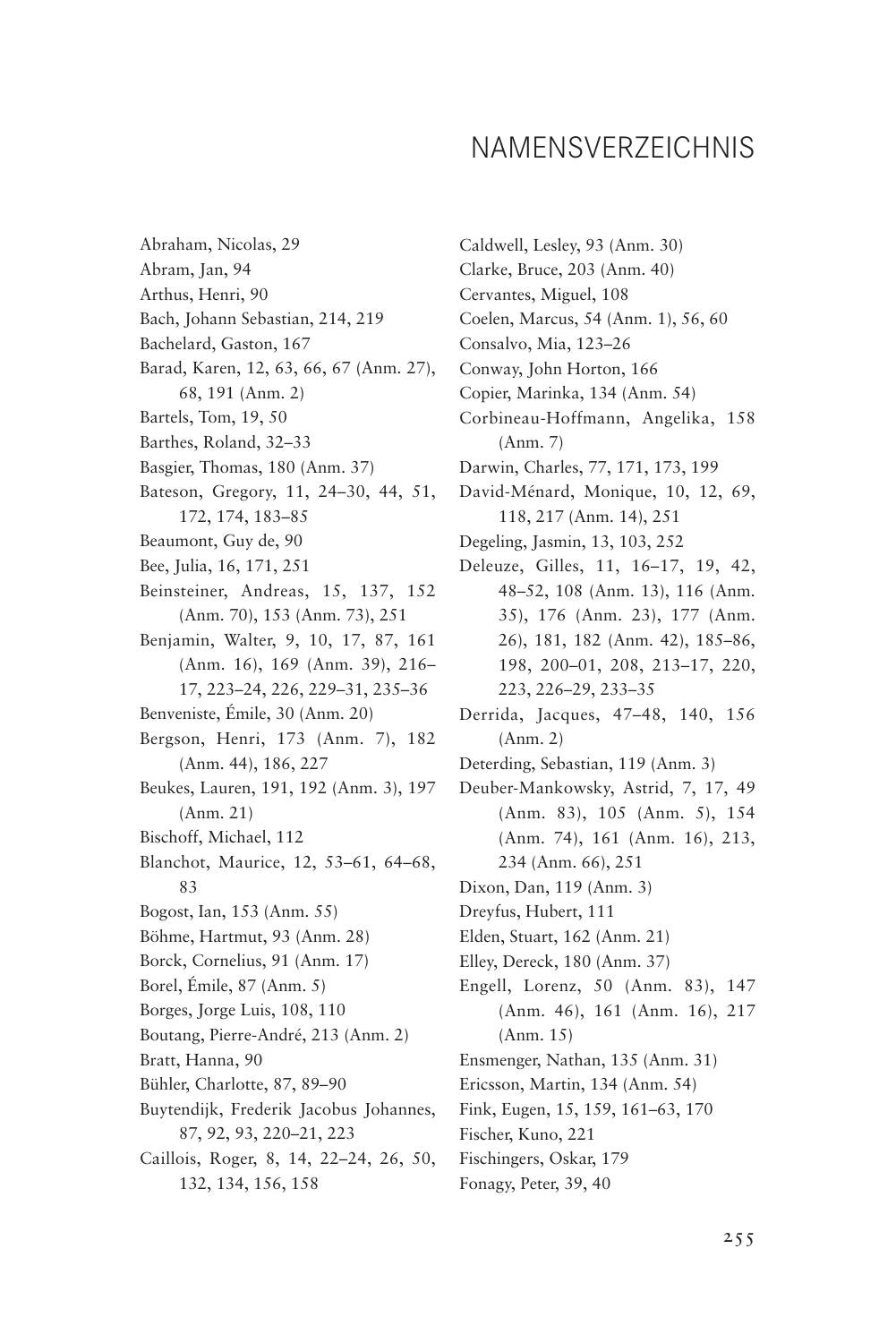## NAMENSVERZEICHNIS

Abraham, Nicolas, 29 Abram, Jan, 94 Arthus, Henri, 90 Bach, Johann Sebastian, 214, 219 Bachelard, Gaston, 167 Barad, Karen, 12, 63, 66, 67 (Anm. 27), 68, 191 (Anm. 2) Bartels, Tom, 19, 50 Barthes, Roland, 32–33 Basgier, Thomas, 180 (Anm. 37) Bateson, Gregory, 11, 24–30, 44, 51, 172, 174, 183–85 Beaumont, Guy de, 90 Bee, Julia, 16, 171, 251 Beinsteiner, Andreas, 15, 137, 152 (Anm. 70), 153 (Anm. 73), 251 Benjamin, Walter, 9, 10, 17, 87, 161 (Anm. 16), 169 (Anm. 39), 216– 17, 223–24, 226, 229–31, 235–36 Benveniste, Émile, 30 (Anm. 20) Bergson, Henri, 173 (Anm. 7), 182 (Anm. 44), 186, 227 Beukes, Lauren, 191, 192 (Anm. 3), 197 (Anm. 21) Bischoff, Michael, 112 Blanchot, Maurice, 12, 53–61, 64–68, 83 Bogost, Ian, 153 (Anm. 55) Böhme, Hartmut, 93 (Anm. 28) Borck, Cornelius, 91 (Anm. 17) Borel, Émile, 87 (Anm. 5) Borges, Jorge Luis, 108, 110 Boutang, Pierre-André, 213 (Anm. 2) Bratt, Hanna, 90 Bühler, Charlotte, 87, 89–90 Buytendijk, Frederik Jacobus Johannes, 87, 92, 93, 220–21, 223 Caillois, Roger, 8, 14, 22–24, 26, 50, 132, 134, 156, 158

Caldwell, Lesley, 93 (Anm. 30) Clarke, Bruce, 203 (Anm. 40) Cervantes, Miguel, 108 Coelen, Marcus, 54 (Anm. 1), 56, 60 Consalvo, Mia, 123–26 Conway, John Horton, 166 Copier, Marinka, 134 (Anm. 54) Corbineau-Hoffmann, Angelika, 158 (Anm. 7) Darwin, Charles, 77, 171, 173, 199 David-Ménard, Monique, 10, 12, 69, 118, 217 (Anm. 14), 251 Degeling, Jasmin, 13, 103, 252 Deleuze, Gilles, 11, 16–17, 19, 42, 48–52, 108 (Anm. 13), 116 (Anm. 35), 176 (Anm. 23), 177 (Anm. 26), 181, 182 (Anm. 42), 185–86, 198, 200–01, 208, 213–17, 220, 223, 226–29, 233–35 Derrida, Jacques, 47–48, 140, 156 (Anm. 2) Deterding, Sebastian, 119 (Anm. 3) Deuber-Mankowsky, Astrid, 7, 17, 49 (Anm. 83), 105 (Anm. 5), 154 (Anm. 74), 161 (Anm. 16), 213, 234 (Anm. 66), 251 Dixon, Dan, 119 (Anm. 3) Dreyfus, Hubert, 111 Elden, Stuart, 162 (Anm. 21) Elley, Dereck, 180 (Anm. 37) Engell, Lorenz, 50 (Anm. 83), 147 (Anm. 46), 161 (Anm. 16), 217 (Anm. 15) Ensmenger, Nathan, 135 (Anm. 31) Ericsson, Martin, 134 (Anm. 54) Fink, Eugen, 15, 159, 161–63, 170 Fischer, Kuno, 221 Fischingers, Oskar, 179 Fonagy, Peter, 39, 40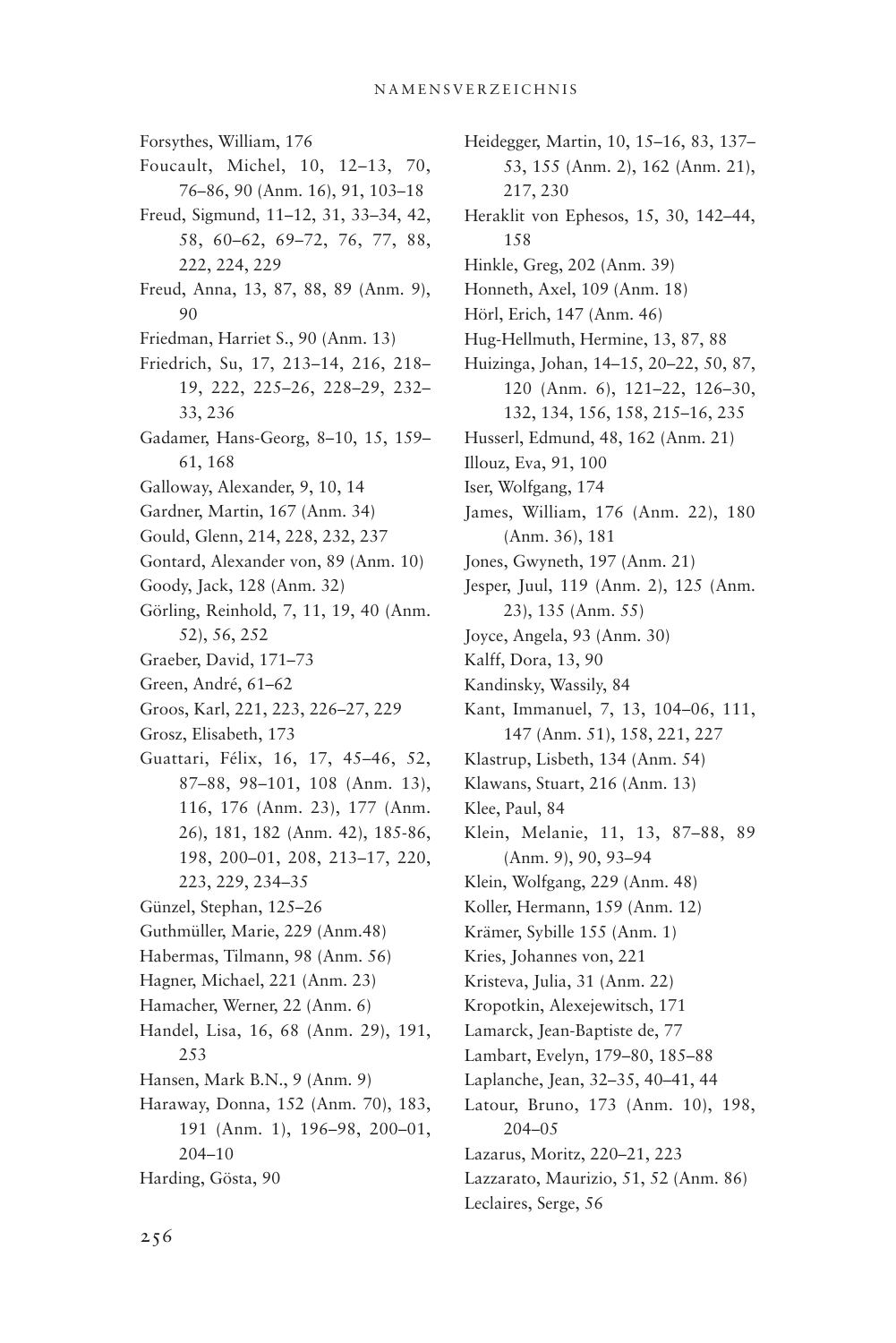Forsythes, William, 176 Foucault, Michel, 10, 12–13, 70, 76–86, 90 (Anm. 16), 91, 103–18 Freud, Sigmund, 11–12, 31, 33–34, 42, 58, 60–62, 69–72, 76, 77, 88, 222, 224, 229 Freud, Anna, 13, 87, 88, 89 (Anm. 9), 90 Friedman, Harriet S., 90 (Anm. 13) Friedrich, Su, 17, 213–14, 216, 218– 19, 222, 225–26, 228–29, 232– 33, 236 Gadamer, Hans-Georg, 8–10, 15, 159– 61, 168 Galloway, Alexander, 9, 10, 14 Gardner, Martin, 167 (Anm. 34) Gould, Glenn, 214, 228, 232, 237 Gontard, Alexander von, 89 (Anm. 10) Goody, Jack, 128 (Anm. 32) Görling, Reinhold, 7, 11, 19, 40 (Anm. 52), 56, 252 Graeber, David, 171–73 Green, André, 61–62 Groos, Karl, 221, 223, 226–27, 229 Grosz, Elisabeth, 173 Guattari, Félix, 16, 17, 45–46, 52, 87–88, 98–101, 108 (Anm. 13), 116, 176 (Anm. 23), 177 (Anm. 26), 181, 182 (Anm. 42), 185-86, 198, 200–01, 208, 213–17, 220, 223, 229, 234–35 Günzel, Stephan, 125–26 Guthmüller, Marie, 229 (Anm.48) Habermas, Tilmann, 98 (Anm. 56) Hagner, Michael, 221 (Anm. 23) Hamacher, Werner, 22 (Anm. 6) Handel, Lisa, 16, 68 (Anm. 29), 191, 253 Hansen, Mark B.N., 9 (Anm. 9) Haraway, Donna, 152 (Anm. 70), 183, 191 (Anm. 1), 196–98, 200–01, 204–10 Harding, Gösta, 90

Heidegger, Martin, 10, 15–16, 83, 137– 53, 155 (Anm. 2), 162 (Anm. 21), 217, 230 Heraklit von Ephesos, 15, 30, 142–44, 158 Hinkle, Greg, 202 (Anm. 39) Honneth, Axel, 109 (Anm. 18) Hörl, Erich, 147 (Anm. 46) Hug-Hellmuth, Hermine, 13, 87, 88 Huizinga, Johan, 14–15, 20–22, 50, 87, 120 (Anm. 6), 121–22, 126–30, 132, 134, 156, 158, 215–16, 235 Husserl, Edmund, 48, 162 (Anm. 21) Illouz, Eva, 91, 100 Iser, Wolfgang, 174 James, William, 176 (Anm. 22), 180 (Anm. 36), 181 Jones, Gwyneth, 197 (Anm. 21) Jesper, Juul, 119 (Anm. 2), 125 (Anm. 23), 135 (Anm. 55) Joyce, Angela, 93 (Anm. 30) Kalff, Dora, 13, 90 Kandinsky, Wassily, 84 Kant, Immanuel, 7, 13, 104–06, 111, 147 (Anm. 51), 158, 221, 227 Klastrup, Lisbeth, 134 (Anm. 54) Klawans, Stuart, 216 (Anm. 13) Klee, Paul, 84 Klein, Melanie, 11, 13, 87–88, 89 (Anm. 9), 90, 93–94 Klein, Wolfgang, 229 (Anm. 48) Koller, Hermann, 159 (Anm. 12) Krämer, Sybille 155 (Anm. 1) Kries, Johannes von, 221 Kristeva, Julia, 31 (Anm. 22) Kropotkin, Alexejewitsch, 171 Lamarck, Jean-Baptiste de, 77 Lambart, Evelyn, 179–80, 185–88 Laplanche, Jean, 32–35, 40–41, 44 Latour, Bruno, 173 (Anm. 10), 198, 204–05 Lazarus, Moritz, 220–21, 223 Lazzarato, Maurizio, 51, 52 (Anm. 86) Leclaires, Serge, 56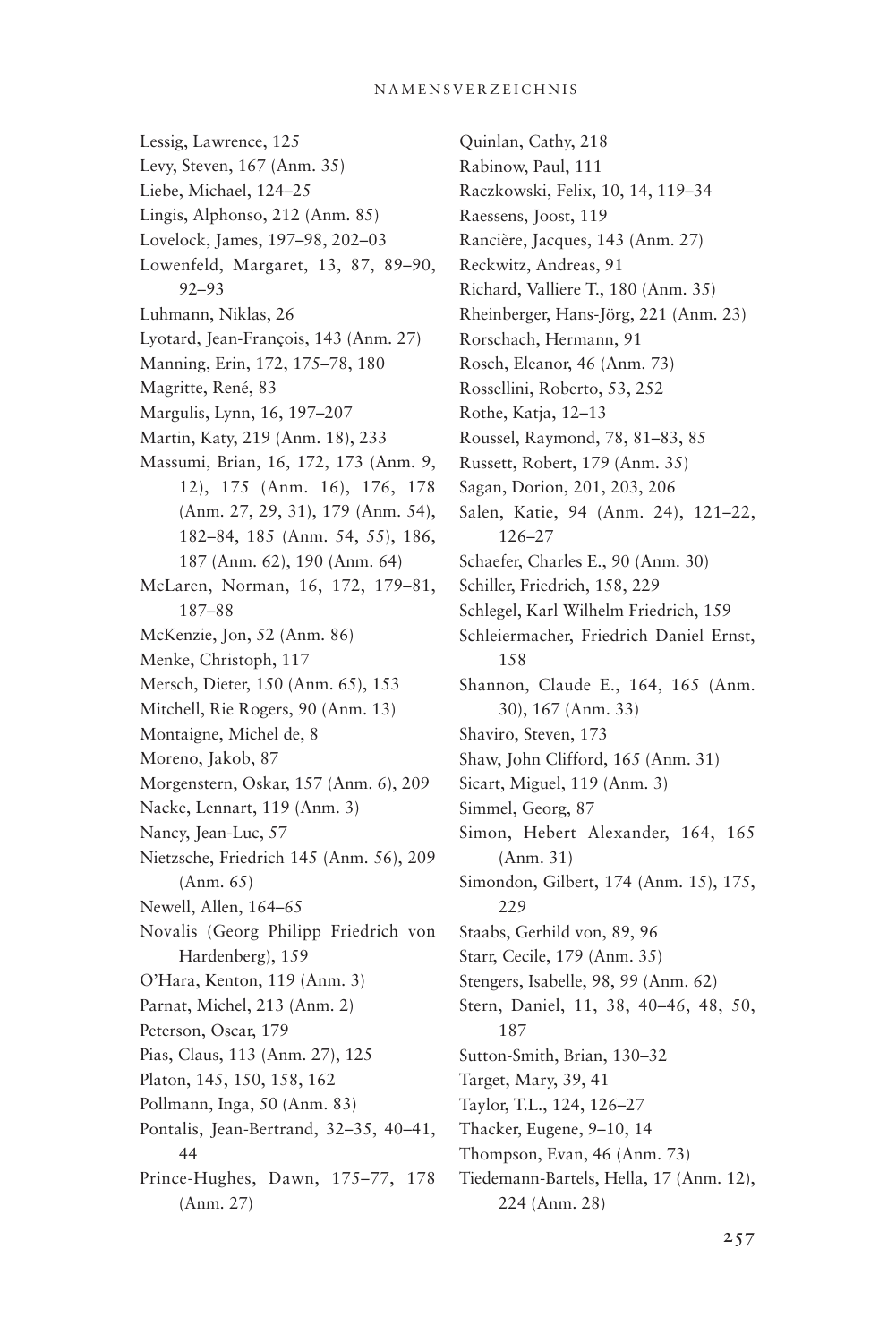#### N amensverzeichnis

Lessig, Lawrence, 125 Levy, Steven, 167 (Anm. 35) Liebe, Michael, 124–25 Lingis, Alphonso, 212 (Anm. 85) Lovelock, James, 197–98, 202–03 Lowenfeld, Margaret, 13, 87, 89–90, 92–93 Luhmann, Niklas, 26 Lyotard, Jean-François, 143 (Anm. 27) Manning, Erin, 172, 175–78, 180 Magritte, René, 83 Margulis, Lynn, 16, 197–207 Martin, Katy, 219 (Anm. 18), 233 Massumi, Brian, 16, 172, 173 (Anm. 9, 12), 175 (Anm. 16), 176, 178 (Anm. 27, 29, 31), 179 (Anm. 54), 182–84, 185 (Anm. 54, 55), 186, 187 (Anm. 62), 190 (Anm. 64) McLaren, Norman, 16, 172, 179–81, 187–88 McKenzie, Jon, 52 (Anm. 86) Menke, Christoph, 117 Mersch, Dieter, 150 (Anm. 65), 153 Mitchell, Rie Rogers, 90 (Anm. 13) Montaigne, Michel de, 8 Moreno, Jakob, 87 Morgenstern, Oskar, 157 (Anm. 6), 209 Nacke, Lennart, 119 (Anm. 3) Nancy, Jean-Luc, 57 Nietzsche, Friedrich 145 (Anm. 56), 209 (Anm. 65) Newell, Allen, 164–65 Novalis (Georg Philipp Friedrich von Hardenberg), 159 O'Hara, Kenton, 119 (Anm. 3) Parnat, Michel, 213 (Anm. 2) Peterson, Oscar, 179 Pias, Claus, 113 (Anm. 27), 125 Platon, 145, 150, 158, 162 Pollmann, Inga, 50 (Anm. 83) Pontalis, Jean-Bertrand, 32–35, 40–41, 44 Prince-Hughes, Dawn, 175–77, 178 (Anm. 27)

Quinlan, Cathy, 218 Rabinow, Paul, 111 Raczkowski, Felix, 10, 14, 119–34 Raessens, Joost, 119 Rancière, Jacques, 143 (Anm. 27) Reckwitz, Andreas, 91 Richard, Valliere T., 180 (Anm. 35) Rheinberger, Hans-Jörg, 221 (Anm. 23) Rorschach, Hermann, 91 Rosch, Eleanor, 46 (Anm. 73) Rossellini, Roberto, 53, 252 Rothe, Katja, 12–13 Roussel, Raymond, 78, 81–83, 85 Russett, Robert, 179 (Anm. 35) Sagan, Dorion, 201, 203, 206 Salen, Katie, 94 (Anm. 24), 121–22, 126–27 Schaefer, Charles E., 90 (Anm. 30) Schiller, Friedrich, 158, 229 Schlegel, Karl Wilhelm Friedrich, 159 Schleiermacher, Friedrich Daniel Ernst, 158 Shannon, Claude E., 164, 165 (Anm. 30), 167 (Anm. 33) Shaviro, Steven, 173 Shaw, John Clifford, 165 (Anm. 31) Sicart, Miguel, 119 (Anm. 3) Simmel, Georg, 87 Simon, Hebert Alexander, 164, 165 (Anm. 31) Simondon, Gilbert, 174 (Anm. 15), 175, 229 Staabs, Gerhild von, 89, 96 Starr, Cecile, 179 (Anm. 35) Stengers, Isabelle, 98, 99 (Anm. 62) Stern, Daniel, 11, 38, 40–46, 48, 50, 187 Sutton-Smith, Brian, 130–32 Target, Mary, 39, 41 Taylor, T.L., 124, 126–27 Thacker, Eugene, 9–10, 14 Thompson, Evan, 46 (Anm. 73) Tiedemann-Bartels, Hella, 17 (Anm. 12), 224 (Anm. 28)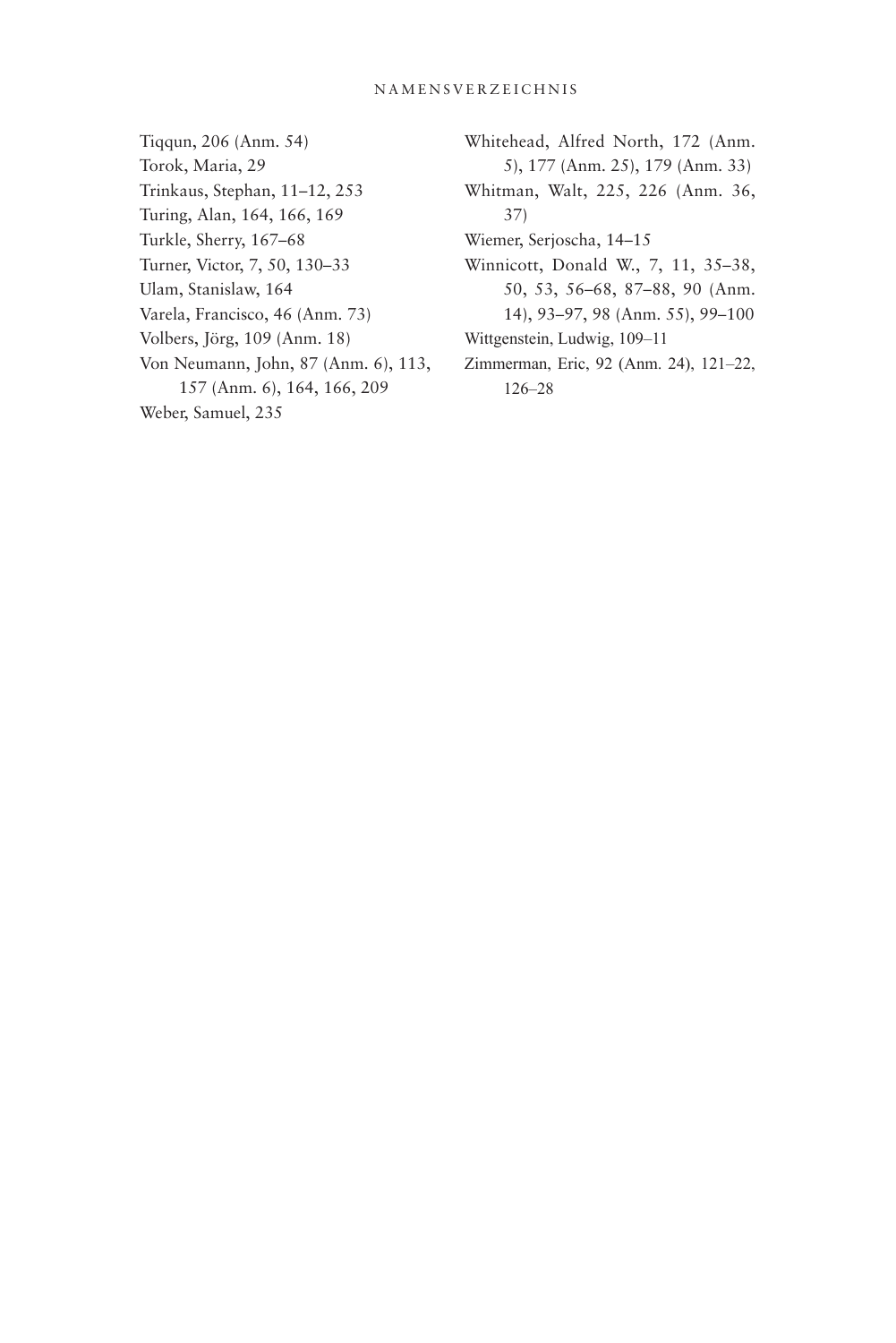### N amensverzeichnis

- Tiqqun, 206 (Anm. 54) Torok, Maria, 29 Trinkaus, Stephan, 11–12, 253 Turing, Alan, 164, 166, 169 Turkle, Sherry, 167–68 Turner, Victor, 7, 50, 130–33 Ulam, Stanislaw, 164 Varela, Francisco, 46 (Anm. 73) Volbers, Jörg, 109 (Anm. 18) Von Neumann, John, 87 (Anm. 6), 113, 157 (Anm. 6), 164, 166, 209 Weber, Samuel, 235
- Whitehead, Alfred North, 172 (Anm. 5), 177 (Anm. 25), 179 (Anm. 33)
- Whitman, Walt, 225, 226 (Anm. 36, 37)
- Wiemer, Serjoscha, 14–15
- Winnicott, Donald W., 7, 11, 35–38, 50, 53, 56–68, 87–88, 90 (Anm. 14), 93–97, 98 (Anm. 55), 99–100
- Wittgenstein, Ludwig, 109–11
- Zimmerman, Eric, 92 (Anm. 24), 121–22, 126–28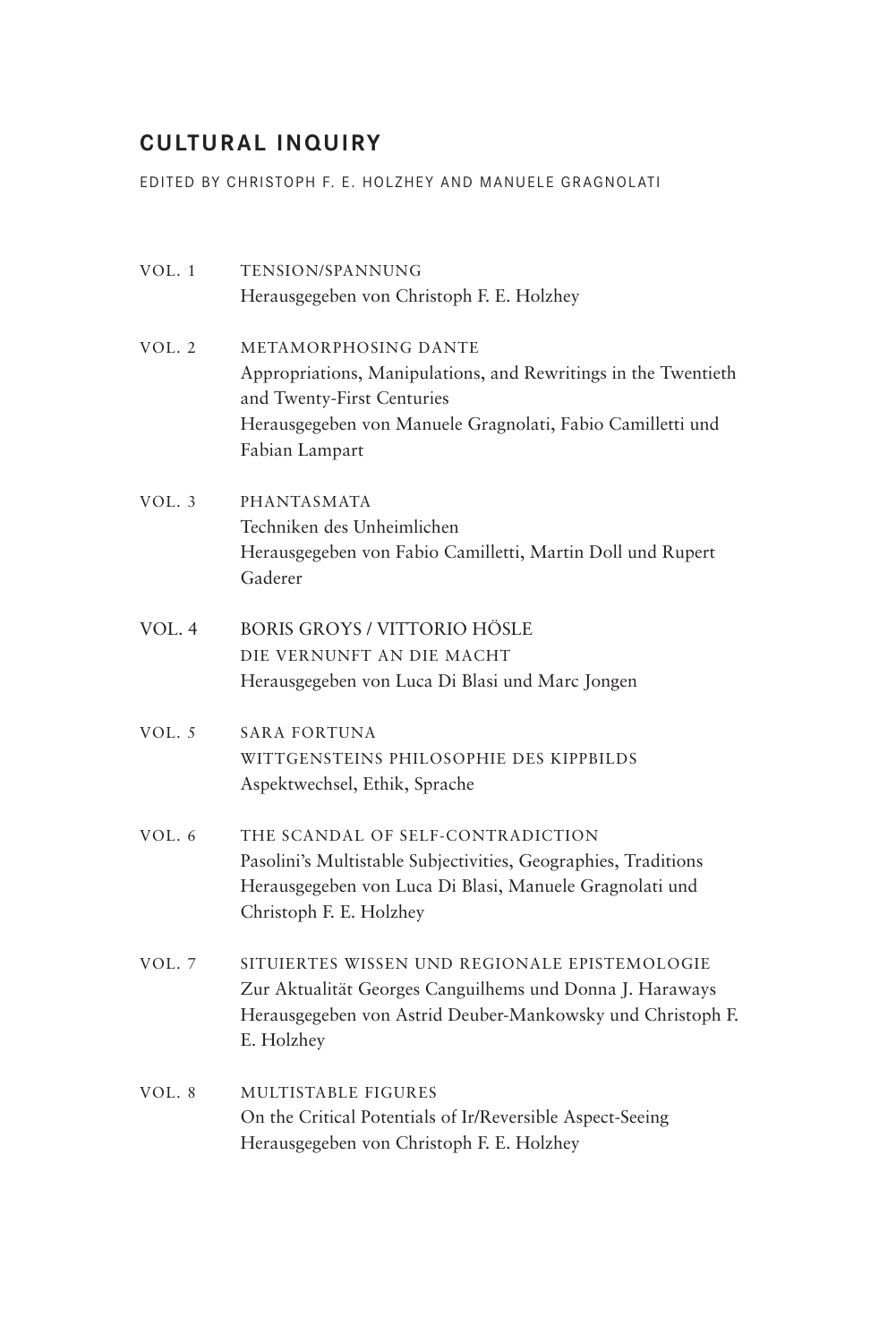### **CULTURAL INQUIRY**

EDITED BY CHRISTOPH F. E. HOLZHEY AND MANUELE GRAGNOLATI

| VOL.1    | TENSION/SPANNUNG                                               |
|----------|----------------------------------------------------------------|
|          | Herausgegeben von Christoph F. E. Holzhey                      |
| VOL.2    | METAMORPHOSING DANTE                                           |
|          | Appropriations, Manipulations, and Rewritings in the Twentieth |
|          | and Twenty-First Centuries                                     |
|          | Herausgegeben von Manuele Gragnolati, Fabio Camilletti und     |
|          | Fabian Lampart                                                 |
| VOL.3    | <b>PHANTASMATA</b>                                             |
|          | Techniken des Unheimlichen                                     |
|          | Herausgegeben von Fabio Camilletti, Martin Doll und Rupert     |
|          | Gaderer                                                        |
| VOL. 4   | <b>BORIS GROYS / VITTORIO HÖSLE</b>                            |
|          | DIE VERNUNFT AN DIE MACHT                                      |
|          | Herausgegeben von Luca Di Blasi und Marc Jongen                |
| VOL. $5$ | <b>SARA FORTUNA</b>                                            |
|          | WITTGENSTEINS PHILOSOPHIE DES KIPPBILDS                        |
|          | Aspektwechsel, Ethik, Sprache                                  |
| VOL.6    | THE SCANDAL OF SELF-CONTRADICTION                              |
|          | Pasolini's Multistable Subjectivities, Geographies, Traditions |
|          | Herausgegeben von Luca Di Blasi, Manuele Gragnolati und        |
|          | Christoph F. E. Holzhey                                        |
| VOL.7    | SITUIERTES WISSEN UND REGIONALE EPISTEMOLOGIE                  |
|          | Zur Aktualität Georges Canguilhems und Donna J. Haraways       |
|          | Herausgegeben von Astrid Deuber-Mankowsky und Christoph F.     |
|          | E. Holzhey                                                     |
| VOL. 8   | MULTISTABLE FIGURES                                            |
|          | On the Critical Potentials of Ir/Reversible Aspect-Seeing      |

Herausgegeben von Christoph F. E. Holzhey